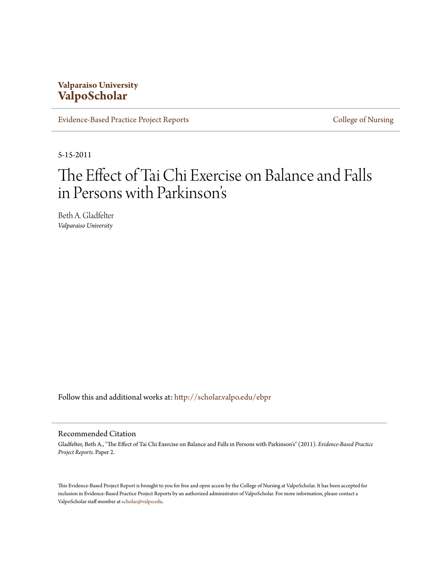# **Valparaiso University [ValpoScholar](http://scholar.valpo.edu?utm_source=scholar.valpo.edu%2Febpr%2F2&utm_medium=PDF&utm_campaign=PDFCoverPages)**

[Evidence-Based Practice Project Reports](http://scholar.valpo.edu/ebpr?utm_source=scholar.valpo.edu%2Febpr%2F2&utm_medium=PDF&utm_campaign=PDFCoverPages) **[College of Nursing](http://scholar.valpo.edu/nursing?utm_source=scholar.valpo.edu%2Febpr%2F2&utm_medium=PDF&utm_campaign=PDFCoverPages)** 

5-15-2011

# The Effect of Tai Chi Exercise on Balance and Falls in Persons with Parkinson' s

Beth A. Gladfelter *Valparaiso University*

Follow this and additional works at: [http://scholar.valpo.edu/ebpr](http://scholar.valpo.edu/ebpr?utm_source=scholar.valpo.edu%2Febpr%2F2&utm_medium=PDF&utm_campaign=PDFCoverPages)

#### Recommended Citation

Gladfelter, Beth A., "The Effect of Tai Chi Exercise on Balance and Falls in Persons with Parkinson's" (2011). *Evidence-Based Practice Project Reports.* Paper 2.

This Evidence-Based Project Report is brought to you for free and open access by the College of Nursing at ValpoScholar. It has been accepted for inclusion in Evidence-Based Practice Project Reports by an authorized administrator of ValpoScholar. For more information, please contact a ValpoScholar staff member at [scholar@valpo.edu.](mailto:scholar@valpo.edu)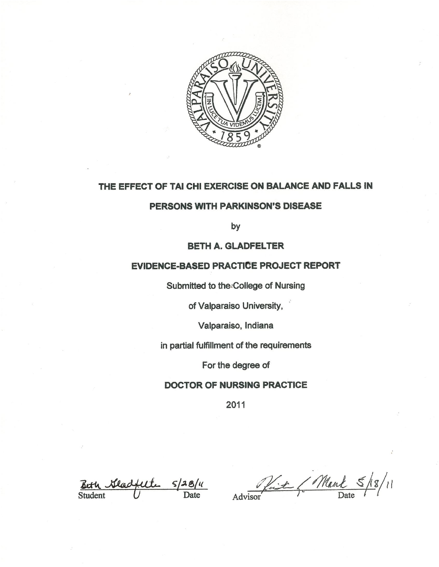

# THE EFFECT OF TAI CHI EXERCISE ON BALANCE AND FALLS IN

# PERSONS WITH PARKINSON'S DISEASE

by

### **BETH A. GLADFELTER**

### **EVIDENCE-BASED PRACTICE PROJECT REPORT**

Submitted to the College of Nursing

of Valparaiso University,

Valparaiso, Indiana

in partial fulfillment of the requirements

For the degree of

### **DOCTOR OF NURSING PRACTICE**

2011

 $\frac{f_{\mu}}{\text{Date}}$ **Student** 

Advisor (Mark 5/18/11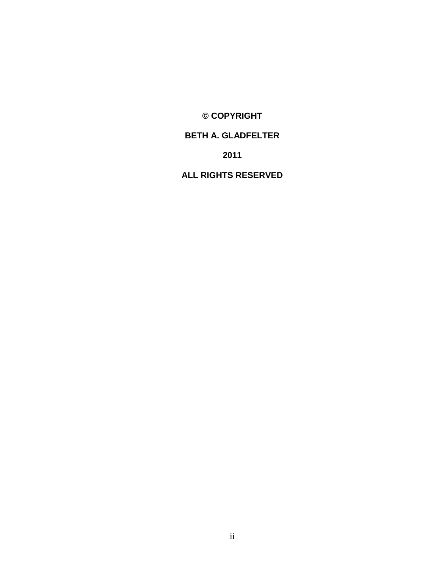**© COPYRIGHT**

# **BETH A. GLADFELTER**

**2011**

**ALL RIGHTS RESERVED**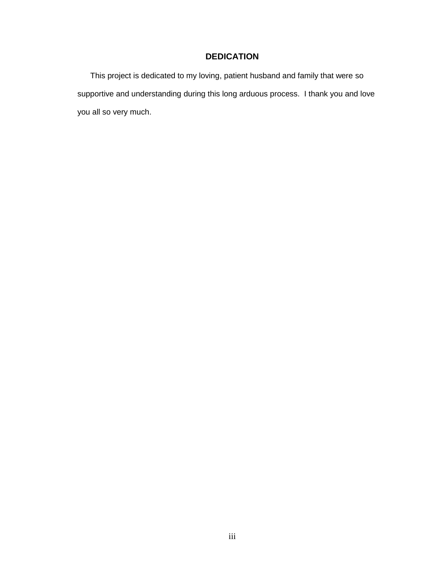# **DEDICATION**

This project is dedicated to my loving, patient husband and family that were so supportive and understanding during this long arduous process. I thank you and love you all so very much.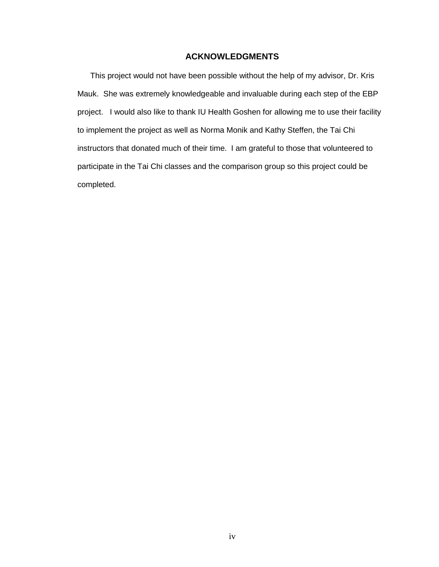### **ACKNOWLEDGMENTS**

This project would not have been possible without the help of my advisor, Dr. Kris Mauk. She was extremely knowledgeable and invaluable during each step of the EBP project. I would also like to thank IU Health Goshen for allowing me to use their facility to implement the project as well as Norma Monik and Kathy Steffen, the Tai Chi instructors that donated much of their time. I am grateful to those that volunteered to participate in the Tai Chi classes and the comparison group so this project could be completed.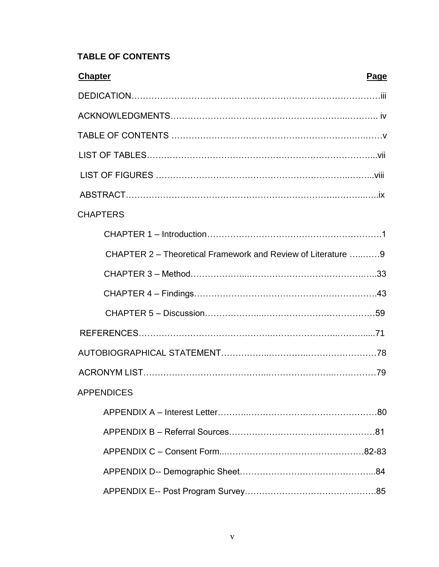# **TABLE OF CONTENTS**

| <b>Chapter</b><br>Page                                       |
|--------------------------------------------------------------|
|                                                              |
|                                                              |
|                                                              |
|                                                              |
|                                                              |
|                                                              |
| <b>CHAPTERS</b>                                              |
|                                                              |
| CHAPTER 2 – Theoretical Framework and Review of Literature 9 |
|                                                              |
|                                                              |
|                                                              |
|                                                              |
|                                                              |
|                                                              |
| <b>APPENDICES</b>                                            |
|                                                              |
|                                                              |
|                                                              |
|                                                              |
|                                                              |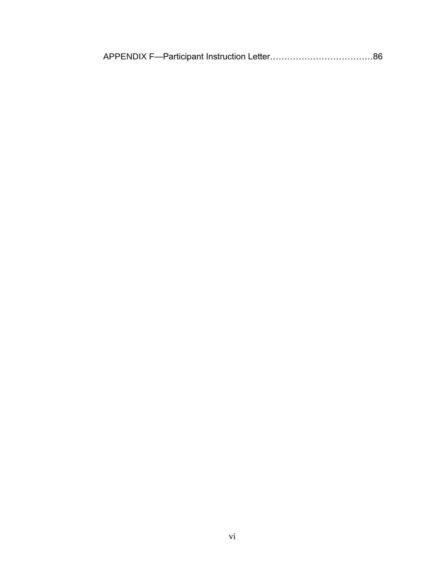|--|--|--|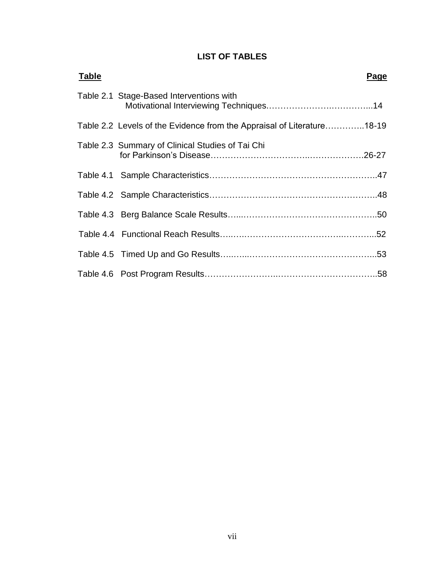# **LIST OF TABLES**

| <b>Table</b> | Page                                                                   |
|--------------|------------------------------------------------------------------------|
|              | Table 2.1 Stage-Based Interventions with                               |
|              | Table 2.2 Levels of the Evidence from the Appraisal of Literature18-19 |
|              | Table 2.3 Summary of Clinical Studies of Tai Chi                       |
|              |                                                                        |
|              |                                                                        |
|              |                                                                        |
|              |                                                                        |
|              |                                                                        |
|              |                                                                        |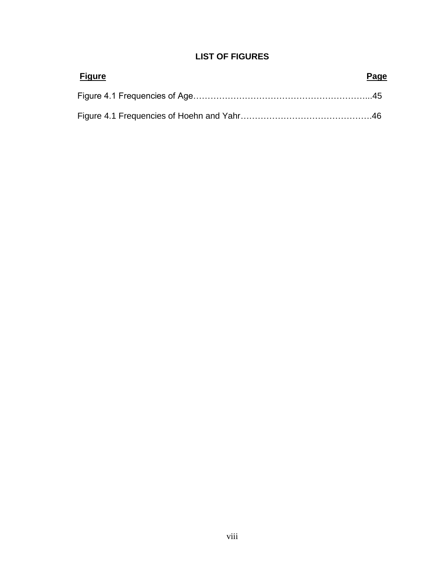# **LIST OF FIGURES**

| <u>Figure</u> | Page |
|---------------|------|
|               |      |
|               |      |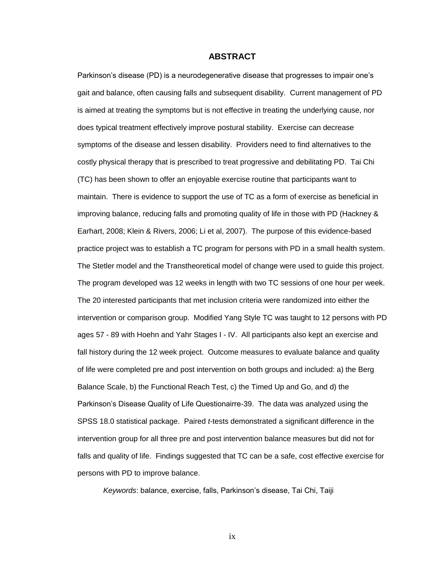#### **ABSTRACT**

Parkinson's disease (PD) is a neurodegenerative disease that progresses to impair one's gait and balance, often causing falls and subsequent disability. Current management of PD is aimed at treating the symptoms but is not effective in treating the underlying cause, nor does typical treatment effectively improve postural stability. Exercise can decrease symptoms of the disease and lessen disability. Providers need to find alternatives to the costly physical therapy that is prescribed to treat progressive and debilitating PD. Tai Chi (TC) has been shown to offer an enjoyable exercise routine that participants want to maintain. There is evidence to support the use of TC as a form of exercise as beneficial in improving balance, reducing falls and promoting quality of life in those with PD (Hackney & Earhart, 2008; Klein & Rivers, 2006; Li et al, 2007). The purpose of this evidence-based practice project was to establish a TC program for persons with PD in a small health system. The Stetler model and the Transtheoretical model of change were used to guide this project. The program developed was 12 weeks in length with two TC sessions of one hour per week. The 20 interested participants that met inclusion criteria were randomized into either the intervention or comparison group. Modified Yang Style TC was taught to 12 persons with PD ages 57 - 89 with Hoehn and Yahr Stages I - IV. All participants also kept an exercise and fall history during the 12 week project. Outcome measures to evaluate balance and quality of life were completed pre and post intervention on both groups and included: a) the Berg Balance Scale, b) the Functional Reach Test, c) the Timed Up and Go, and d) the Parkinson's Disease Quality of Life Questionairre-39. The data was analyzed using the SPSS 18.0 statistical package. Paired *t*-tests demonstrated a significant difference in the intervention group for all three pre and post intervention balance measures but did not for falls and quality of life. Findings suggested that TC can be a safe, cost effective exercise for persons with PD to improve balance.

*Keywords*: balance, exercise, falls, Parkinson's disease, Tai Chi, Taiji

ix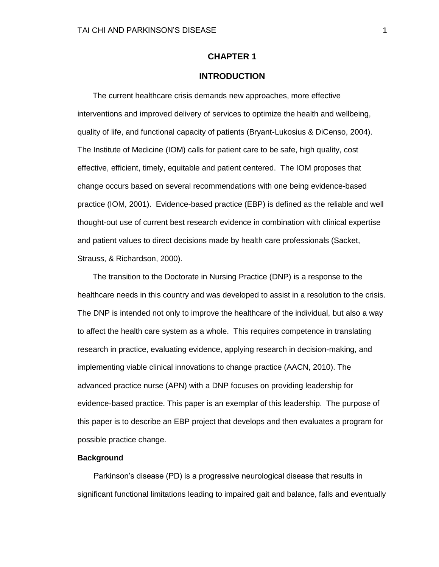### **CHAPTER 1**

### **INTRODUCTION**

 The current healthcare crisis demands new approaches, more effective interventions and improved delivery of services to optimize the health and wellbeing, quality of life, and functional capacity of patients (Bryant-Lukosius & DiCenso, 2004). The Institute of Medicine (IOM) calls for patient care to be safe, high quality, cost effective, efficient, timely, equitable and patient centered. The IOM proposes that change occurs based on several recommendations with one being evidence-based practice (IOM, 2001). Evidence-based practice (EBP) is defined as the reliable and well thought-out use of current best research evidence in combination with clinical expertise and patient values to direct decisions made by health care professionals (Sacket, Strauss, & Richardson, 2000).

 The transition to the Doctorate in Nursing Practice (DNP) is a response to the healthcare needs in this country and was developed to assist in a resolution to the crisis. The DNP is intended not only to improve the healthcare of the individual, but also a way to affect the health care system as a whole. This requires competence in translating research in practice, evaluating evidence, applying research in decision-making, and implementing viable clinical innovations to change practice (AACN, 2010). The advanced practice nurse (APN) with a DNP focuses on providing leadership for evidence-based practice. This paper is an exemplar of this leadership. The purpose of this paper is to describe an EBP project that develops and then evaluates a program for possible practice change.

#### **Background**

Parkinson's disease (PD) is a progressive neurological disease that results in significant functional limitations leading to impaired gait and balance, falls and eventually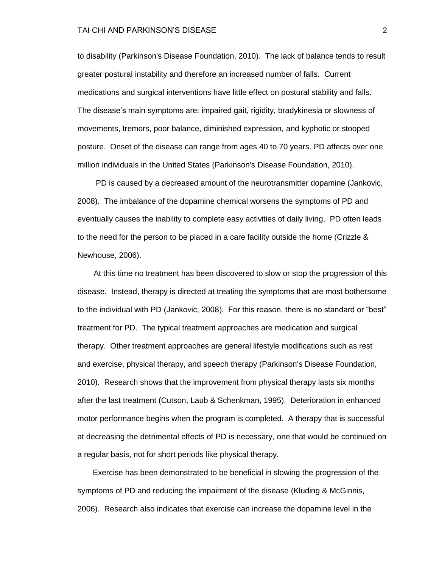#### TAI CHI AND PARKINSON'S DISEASE 2

to disability (Parkinson's Disease Foundation, 2010). The lack of balance tends to result greater postural instability and therefore an increased number of falls. Current medications and surgical interventions have little effect on postural stability and falls. The disease's main symptoms are: impaired gait, rigidity, bradykinesia or slowness of movements, tremors, poor balance, diminished expression, and kyphotic or stooped posture. Onset of the disease can range from ages 40 to 70 years. PD affects over one million individuals in the United States (Parkinson's Disease Foundation, 2010).

PD is caused by a decreased amount of the neurotransmitter dopamine (Jankovic, 2008). The imbalance of the dopamine chemical worsens the symptoms of PD and eventually causes the inability to complete easy activities of daily living. PD often leads to the need for the person to be placed in a care facility outside the home (Crizzle & Newhouse, 2006).

At this time no treatment has been discovered to slow or stop the progression of this disease. Instead, therapy is directed at treating the symptoms that are most bothersome to the individual with PD (Jankovic, 2008). For this reason, there is no standard or "best" treatment for PD. The typical treatment approaches are medication and surgical therapy. Other treatment approaches are general lifestyle modifications such as rest and exercise, physical therapy, and speech therapy (Parkinson's Disease Foundation, 2010). Research shows that the improvement from physical therapy lasts six months after the last treatment (Cutson, Laub & Schenkman, 1995). Deterioration in enhanced motor performance begins when the program is completed. A therapy that is successful at decreasing the detrimental effects of PD is necessary, one that would be continued on a regular basis, not for short periods like physical therapy.

 Exercise has been demonstrated to be beneficial in slowing the progression of the symptoms of PD and reducing the impairment of the disease (Kluding & McGinnis, 2006). Research also indicates that exercise can increase the dopamine level in the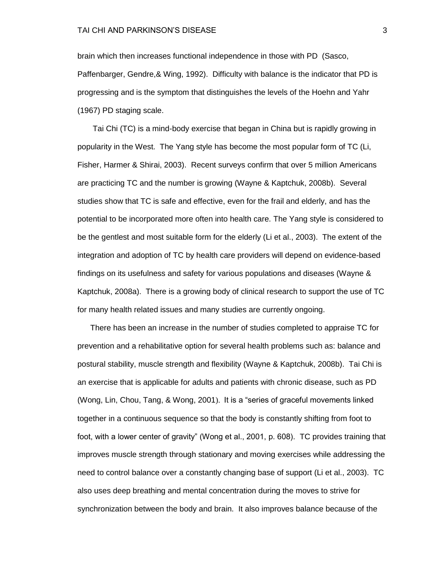brain which then increases functional independence in those with PD (Sasco, Paffenbarger, Gendre,& Wing, 1992). Difficulty with balance is the indicator that PD is progressing and is the symptom that distinguishes the levels of the Hoehn and Yahr (1967) PD staging scale.

 Tai Chi (TC) is a mind-body exercise that began in China but is rapidly growing in popularity in the West. The Yang style has become the most popular form of TC (Li, Fisher, Harmer & Shirai, 2003). Recent surveys confirm that over 5 million Americans are practicing TC and the number is growing (Wayne & Kaptchuk, 2008b). Several studies show that TC is safe and effective, even for the frail and elderly, and has the potential to be incorporated more often into health care. The Yang style is considered to be the gentlest and most suitable form for the elderly (Li et al., 2003). The extent of the integration and adoption of TC by health care providers will depend on evidence-based findings on its usefulness and safety for various populations and diseases (Wayne & Kaptchuk, 2008a). There is a growing body of clinical research to support the use of TC for many health related issues and many studies are currently ongoing.

There has been an increase in the number of studies completed to appraise TC for prevention and a rehabilitative option for several health problems such as: balance and postural stability, muscle strength and flexibility (Wayne & Kaptchuk, 2008b). Tai Chi is an exercise that is applicable for adults and patients with chronic disease, such as PD (Wong, Lin, Chou, Tang, & Wong, 2001). It is a "series of graceful movements linked together in a continuous sequence so that the body is constantly shifting from foot to foot, with a lower center of gravity" (Wong et al., 2001, p. 608). TC provides training that improves muscle strength through stationary and moving exercises while addressing the need to control balance over a constantly changing base of support (Li et al., 2003). TC also uses deep breathing and mental concentration during the moves to strive for synchronization between the body and brain. It also improves balance because of the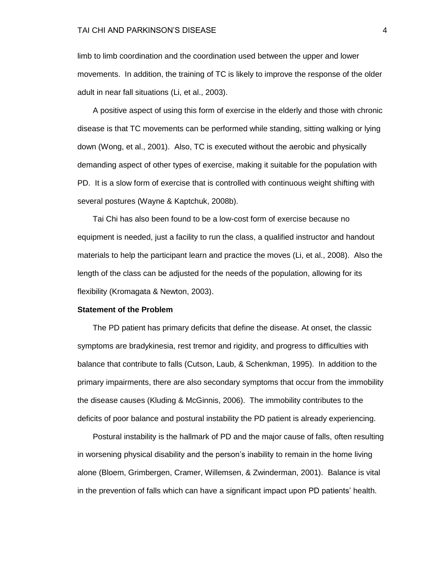#### TAI CHI AND PARKINSON'S DISEASE 4

limb to limb coordination and the coordination used between the upper and lower movements. In addition, the training of TC is likely to improve the response of the older adult in near fall situations (Li, et al., 2003).

 A positive aspect of using this form of exercise in the elderly and those with chronic disease is that TC movements can be performed while standing, sitting walking or lying down (Wong, et al., 2001). Also, TC is executed without the aerobic and physically demanding aspect of other types of exercise, making it suitable for the population with PD. It is a slow form of exercise that is controlled with continuous weight shifting with several postures (Wayne & Kaptchuk, 2008b).

 Tai Chi has also been found to be a low-cost form of exercise because no equipment is needed, just a facility to run the class, a qualified instructor and handout materials to help the participant learn and practice the moves (Li, et al., 2008). Also the length of the class can be adjusted for the needs of the population, allowing for its flexibility (Kromagata & Newton, 2003).

#### **Statement of the Problem**

The PD patient has primary deficits that define the disease. At onset, the classic symptoms are bradykinesia, rest tremor and rigidity, and progress to difficulties with balance that contribute to falls (Cutson, Laub, & Schenkman, 1995). In addition to the primary impairments, there are also secondary symptoms that occur from the immobility the disease causes (Kluding & McGinnis, 2006). The immobility contributes to the deficits of poor balance and postural instability the PD patient is already experiencing.

 Postural instability is the hallmark of PD and the major cause of falls, often resulting in worsening physical disability and the person's inability to remain in the home living alone (Bloem, Grimbergen, Cramer, Willemsen, & Zwinderman, 2001). Balance is vital in the prevention of falls which can have a significant impact upon PD patients' health.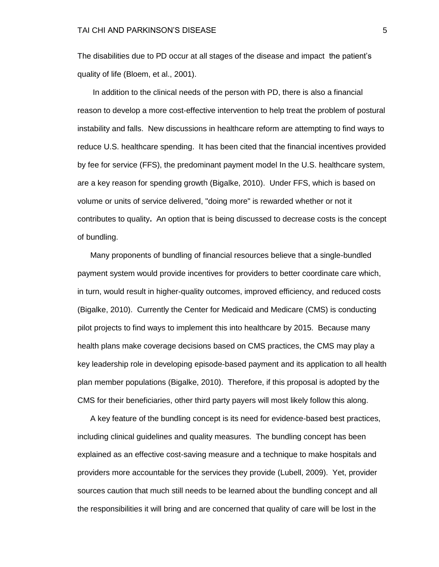The disabilities due to PD occur at all stages of the disease and impact the patient's quality of life (Bloem, et al., 2001).

 In addition to the clinical needs of the person with PD, there is also a financial reason to develop a more cost-effective intervention to help treat the problem of postural instability and falls. New discussions in healthcare reform are attempting to find ways to reduce U.S. healthcare spending. It has been cited that the financial incentives provided by fee for service (FFS), the predominant payment model In the U.S. healthcare system, are a key reason for spending growth (Bigalke, 2010). Under FFS, which is based on volume or units of service delivered, "doing more" is rewarded whether or not it contributes to quality**.** An option that is being discussed to decrease costs is the concept of bundling.

Many proponents of bundling of financial resources believe that a single-bundled payment system would provide incentives for providers to better coordinate care which, in turn, would result in higher-quality outcomes, improved efficiency, and reduced costs (Bigalke, 2010). Currently the Center for Medicaid and Medicare (CMS) is conducting pilot projects to find ways to implement this into healthcare by 2015. Because many health plans make coverage decisions based on CMS practices, the CMS may play a key leadership role in developing episode-based payment and its application to all health plan member populations (Bigalke, 2010). Therefore, if this proposal is adopted by the CMS for their beneficiaries, other third party payers will most likely follow this along.

A key feature of the bundling concept is its need for evidence-based best practices, including clinical guidelines and quality measures. The bundling concept has been explained as an effective cost-saving measure and a technique to make hospitals and providers more accountable for the services they provide (Lubell, 2009). Yet, provider sources caution that much still needs to be learned about the bundling concept and all the responsibilities it will bring and are concerned that quality of care will be lost in the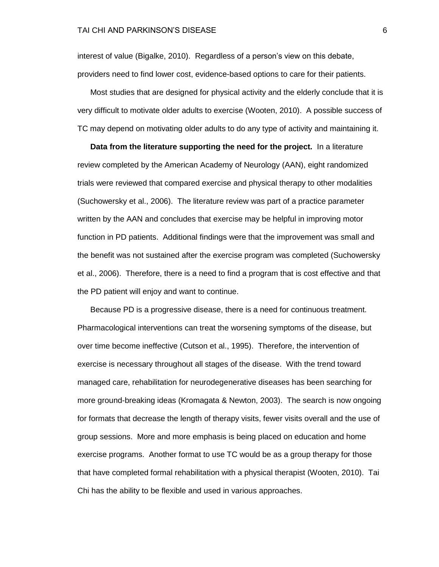interest of value (Bigalke, 2010). Regardless of a person's view on this debate, providers need to find lower cost, evidence-based options to care for their patients.

Most studies that are designed for physical activity and the elderly conclude that it is very difficult to motivate older adults to exercise (Wooten, 2010). A possible success of TC may depend on motivating older adults to do any type of activity and maintaining it.

**Data from the literature supporting the need for the project.** In a literature review completed by the American Academy of Neurology (AAN), eight randomized trials were reviewed that compared exercise and physical therapy to other modalities (Suchowersky et al., 2006). The literature review was part of a practice parameter written by the AAN and concludes that exercise may be helpful in improving motor function in PD patients. Additional findings were that the improvement was small and the benefit was not sustained after the exercise program was completed (Suchowersky et al., 2006). Therefore, there is a need to find a program that is cost effective and that the PD patient will enjoy and want to continue.

Because PD is a progressive disease, there is a need for continuous treatment. Pharmacological interventions can treat the worsening symptoms of the disease, but over time become ineffective (Cutson et al., 1995). Therefore, the intervention of exercise is necessary throughout all stages of the disease. With the trend toward managed care, rehabilitation for neurodegenerative diseases has been searching for more ground-breaking ideas (Kromagata & Newton, 2003). The search is now ongoing for formats that decrease the length of therapy visits, fewer visits overall and the use of group sessions. More and more emphasis is being placed on education and home exercise programs. Another format to use TC would be as a group therapy for those that have completed formal rehabilitation with a physical therapist (Wooten, 2010). Tai Chi has the ability to be flexible and used in various approaches.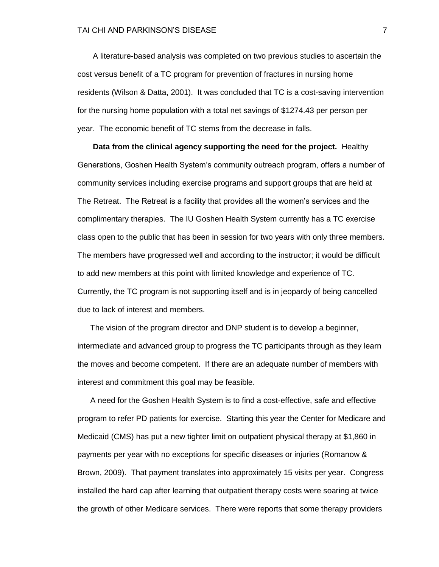A literature-based analysis was completed on two previous studies to ascertain the cost versus benefit of a TC program for prevention of fractures in nursing home residents (Wilson & Datta, 2001). It was concluded that TC is a cost-saving intervention for the nursing home population with a total net savings of \$1274.43 per person per year. The economic benefit of TC stems from the decrease in falls.

 **Data from the clinical agency supporting the need for the project.** Healthy Generations, Goshen Health System's community outreach program, offers a number of community services including exercise programs and support groups that are held at The Retreat. The Retreat is a facility that provides all the women's services and the complimentary therapies. The IU Goshen Health System currently has a TC exercise class open to the public that has been in session for two years with only three members. The members have progressed well and according to the instructor; it would be difficult to add new members at this point with limited knowledge and experience of TC. Currently, the TC program is not supporting itself and is in jeopardy of being cancelled due to lack of interest and members.

The vision of the program director and DNP student is to develop a beginner, intermediate and advanced group to progress the TC participants through as they learn the moves and become competent. If there are an adequate number of members with interest and commitment this goal may be feasible.

A need for the Goshen Health System is to find a cost-effective, safe and effective program to refer PD patients for exercise. Starting this year the Center for Medicare and Medicaid (CMS) has put a new tighter limit on outpatient physical therapy at \$1,860 in payments per year with no exceptions for specific diseases or injuries (Romanow & Brown, 2009). That payment translates into approximately 15 visits per year. Congress installed the hard cap after learning that outpatient therapy costs were soaring at twice the growth of other Medicare services. There were reports that some therapy providers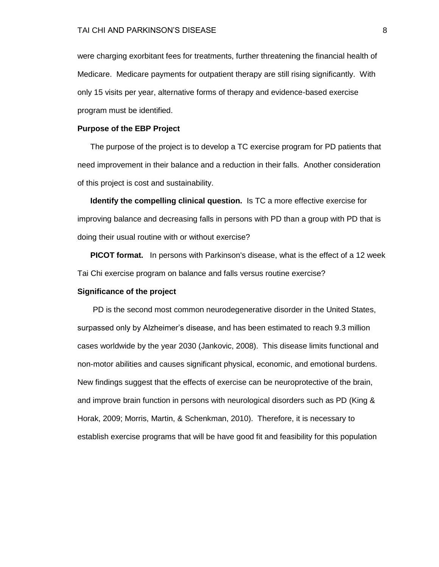were charging exorbitant fees for treatments, further threatening the financial health of Medicare. Medicare payments for outpatient therapy are still rising significantly. With only 15 visits per year, alternative forms of therapy and evidence-based exercise program must be identified.

#### **Purpose of the EBP Project**

The purpose of the project is to develop a TC exercise program for PD patients that need improvement in their balance and a reduction in their falls. Another consideration of this project is cost and sustainability.

**Identify the compelling clinical question.** Is TC a more effective exercise for improving balance and decreasing falls in persons with PD than a group with PD that is doing their usual routine with or without exercise?

**PICOT format.** In persons with Parkinson's disease, what is the effect of a 12 week Tai Chi exercise program on balance and falls versus routine exercise?

#### **Significance of the project**

 PD is the second most common neurodegenerative disorder in the United States, surpassed only by Alzheimer's disease, and has been estimated to reach 9.3 million cases worldwide by the year 2030 (Jankovic, 2008). This disease limits functional and non-motor abilities and causes significant physical, economic, and emotional burdens. New findings suggest that the effects of exercise can be neuroprotective of the brain, and improve brain function in persons with neurological disorders such as PD (King & Horak, 2009; Morris, Martin, & Schenkman, 2010). Therefore, it is necessary to establish exercise programs that will be have good fit and feasibility for this population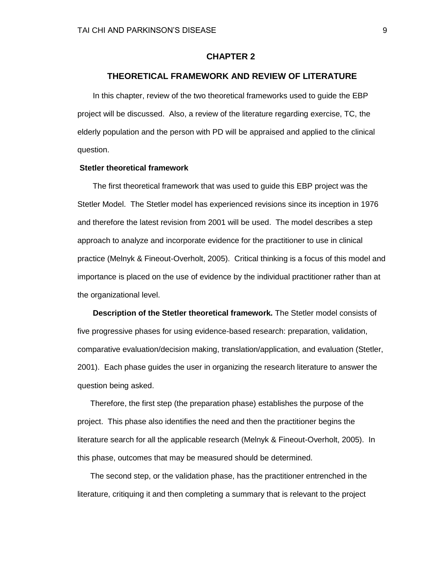### **CHAPTER 2**

#### **THEORETICAL FRAMEWORK AND REVIEW OF LITERATURE**

 In this chapter, review of the two theoretical frameworks used to guide the EBP project will be discussed. Also, a review of the literature regarding exercise, TC, the elderly population and the person with PD will be appraised and applied to the clinical question.

#### **Stetler theoretical framework**

The first theoretical framework that was used to guide this EBP project was the Stetler Model. The Stetler model has experienced revisions since its inception in 1976 and therefore the latest revision from 2001 will be used. The model describes a step approach to analyze and incorporate evidence for the practitioner to use in clinical practice (Melnyk & Fineout-Overholt, 2005). Critical thinking is a focus of this model and importance is placed on the use of evidence by the individual practitioner rather than at the organizational level.

 **Description of the Stetler theoretical framework.** The Stetler model consists of five progressive phases for using evidence-based research: preparation, validation, comparative evaluation/decision making, translation/application, and evaluation (Stetler, 2001). Each phase guides the user in organizing the research literature to answer the question being asked.

Therefore, the first step (the preparation phase) establishes the purpose of the project. This phase also identifies the need and then the practitioner begins the literature search for all the applicable research (Melnyk & Fineout-Overholt, 2005). In this phase, outcomes that may be measured should be determined.

The second step, or the validation phase, has the practitioner entrenched in the literature, critiquing it and then completing a summary that is relevant to the project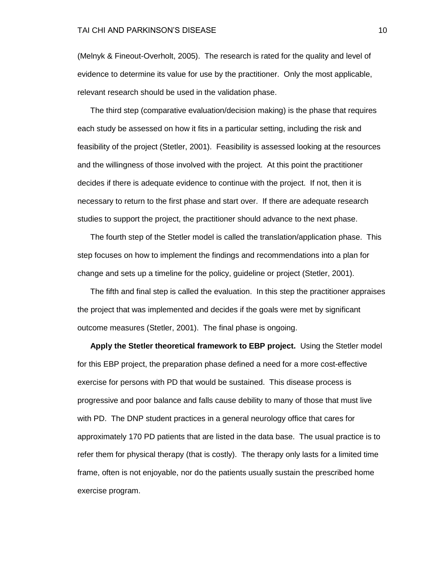(Melnyk & Fineout-Overholt, 2005). The research is rated for the quality and level of evidence to determine its value for use by the practitioner. Only the most applicable, relevant research should be used in the validation phase.

The third step (comparative evaluation/decision making) is the phase that requires each study be assessed on how it fits in a particular setting, including the risk and feasibility of the project (Stetler, 2001). Feasibility is assessed looking at the resources and the willingness of those involved with the project. At this point the practitioner decides if there is adequate evidence to continue with the project. If not, then it is necessary to return to the first phase and start over. If there are adequate research studies to support the project, the practitioner should advance to the next phase.

The fourth step of the Stetler model is called the translation/application phase. This step focuses on how to implement the findings and recommendations into a plan for change and sets up a timeline for the policy, guideline or project (Stetler, 2001).

The fifth and final step is called the evaluation. In this step the practitioner appraises the project that was implemented and decides if the goals were met by significant outcome measures (Stetler, 2001). The final phase is ongoing.

**Apply the Stetler theoretical framework to EBP project.** Using the Stetler model for this EBP project, the preparation phase defined a need for a more cost-effective exercise for persons with PD that would be sustained. This disease process is progressive and poor balance and falls cause debility to many of those that must live with PD. The DNP student practices in a general neurology office that cares for approximately 170 PD patients that are listed in the data base. The usual practice is to refer them for physical therapy (that is costly). The therapy only lasts for a limited time frame, often is not enjoyable, nor do the patients usually sustain the prescribed home exercise program.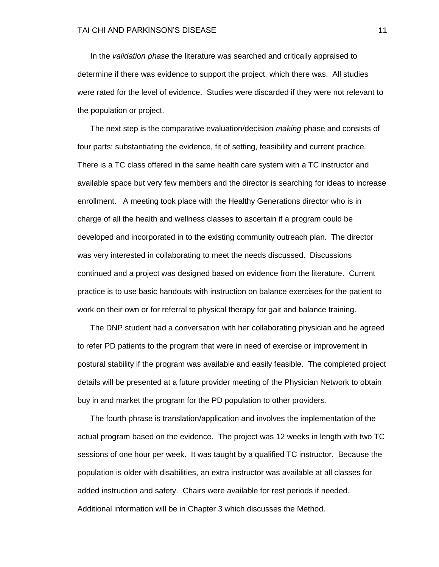In the *validation phase* the literature was searched and critically appraised to determine if there was evidence to support the project, which there was. All studies were rated for the level of evidence. Studies were discarded if they were not relevant to the population or project.

The next step is the comparative evaluation/decision *making* phase and consists of four parts: substantiating the evidence, fit of setting, feasibility and current practice. There is a TC class offered in the same health care system with a TC instructor and available space but very few members and the director is searching for ideas to increase enrollment. A meeting took place with the Healthy Generations director who is in charge of all the health and wellness classes to ascertain if a program could be developed and incorporated in to the existing community outreach plan. The director was very interested in collaborating to meet the needs discussed. Discussions continued and a project was designed based on evidence from the literature. Current practice is to use basic handouts with instruction on balance exercises for the patient to work on their own or for referral to physical therapy for gait and balance training.

The DNP student had a conversation with her collaborating physician and he agreed to refer PD patients to the program that were in need of exercise or improvement in postural stability if the program was available and easily feasible. The completed project details will be presented at a future provider meeting of the Physician Network to obtain buy in and market the program for the PD population to other providers.

The fourth phrase is translation/application and involves the implementation of the actual program based on the evidence. The project was 12 weeks in length with two TC sessions of one hour per week. It was taught by a qualified TC instructor. Because the population is older with disabilities, an extra instructor was available at all classes for added instruction and safety. Chairs were available for rest periods if needed. Additional information will be in Chapter 3 which discusses the Method.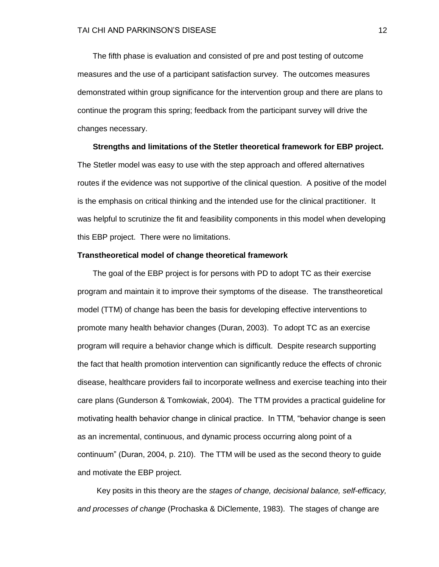The fifth phase is evaluation and consisted of pre and post testing of outcome measures and the use of a participant satisfaction survey. The outcomes measures demonstrated within group significance for the intervention group and there are plans to continue the program this spring; feedback from the participant survey will drive the changes necessary.

 **Strengths and limitations of the Stetler theoretical framework for EBP project.**  The Stetler model was easy to use with the step approach and offered alternatives routes if the evidence was not supportive of the clinical question. A positive of the model is the emphasis on critical thinking and the intended use for the clinical practitioner. It was helpful to scrutinize the fit and feasibility components in this model when developing this EBP project. There were no limitations.

#### **Transtheoretical model of change theoretical framework**

 The goal of the EBP project is for persons with PD to adopt TC as their exercise program and maintain it to improve their symptoms of the disease. The transtheoretical model (TTM) of change has been the basis for developing effective interventions to promote many health behavior changes (Duran, 2003). To adopt TC as an exercise program will require a behavior change which is difficult. Despite research supporting the fact that health promotion intervention can significantly reduce the effects of chronic disease, healthcare providers fail to incorporate wellness and exercise teaching into their care plans (Gunderson & Tomkowiak, 2004). The TTM provides a practical guideline for motivating health behavior change in clinical practice. In TTM, "behavior change is seen as an incremental, continuous, and dynamic process occurring along point of a continuum‖ (Duran, 2004, p. 210).The TTM will be used as the second theory to guide and motivate the EBP project.

Key posits in this theory are the *stages of change, decisional balance, self-efficacy, and processes of change* (Prochaska & DiClemente, 1983). The stages of change are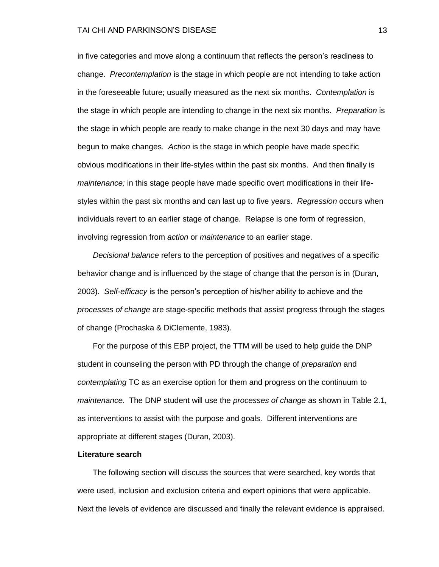#### TAI CHI AND PARKINSON'S DISEASE 13 ANN 13 AN 13 AN 13 AN 13 AN 13 AN 13 AN 13 AN 13 AN 13 AN 13 AN 13 AN 13 AN

in five categories and move along a continuum that reflects the person's readiness to change. *Precontemplation* is the stage in which people are not intending to take action in the foreseeable future; usually measured as the next six months. *Contemplation* is the stage in which people are intending to change in the next six months. *Preparation* is the stage in which people are ready to make change in the next 30 days and may have begun to make changes. *Action* is the stage in which people have made specific obvious modifications in their life-styles within the past six months. And then finally is *maintenance;* in this stage people have made specific overt modifications in their lifestyles within the past six months and can last up to five years. *Regression* occurs when individuals revert to an earlier stage of change. Relapse is one form of regression, involving regression from *action* or *maintenance* to an earlier stage.

 *Decisional balance* refers to the perception of positives and negatives of a specific behavior change and is influenced by the stage of change that the person is in (Duran, 2003). *Self-efficacy* is the person's perception of his/her ability to achieve and the *processes of change* are stage-specific methods that assist progress through the stages of change (Prochaska & DiClemente, 1983).

 For the purpose of this EBP project, the TTM will be used to help guide the DNP student in counseling the person with PD through the change of *preparation* and *contemplating* TC as an exercise option for them and progress on the continuum to *maintenance*. The DNP student will use the *processes of change* as shown in Table 2.1, as interventions to assist with the purpose and goals. Different interventions are appropriate at different stages (Duran, 2003).

#### **Literature search**

 The following section will discuss the sources that were searched, key words that were used, inclusion and exclusion criteria and expert opinions that were applicable. Next the levels of evidence are discussed and finally the relevant evidence is appraised.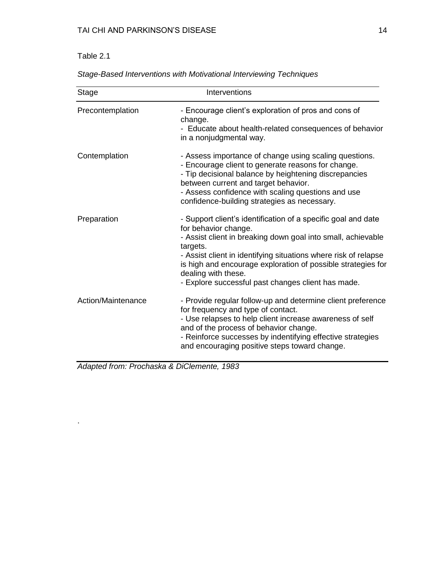# Table 2.1

.

| <b>Stage</b>       | Interventions                                                                                                                                                                                                                                                                                                                                                                     |
|--------------------|-----------------------------------------------------------------------------------------------------------------------------------------------------------------------------------------------------------------------------------------------------------------------------------------------------------------------------------------------------------------------------------|
| Precontemplation   | - Encourage client's exploration of pros and cons of<br>change.<br>- Educate about health-related consequences of behavior<br>in a nonjudgmental way.                                                                                                                                                                                                                             |
| Contemplation      | - Assess importance of change using scaling questions.<br>- Encourage client to generate reasons for change.<br>- Tip decisional balance by heightening discrepancies<br>between current and target behavior.<br>- Assess confidence with scaling questions and use<br>confidence-building strategies as necessary.                                                               |
| Preparation        | - Support client's identification of a specific goal and date<br>for behavior change.<br>- Assist client in breaking down goal into small, achievable<br>targets.<br>- Assist client in identifying situations where risk of relapse<br>is high and encourage exploration of possible strategies for<br>dealing with these.<br>- Explore successful past changes client has made. |
| Action/Maintenance | - Provide regular follow-up and determine client preference<br>for frequency and type of contact.<br>- Use relapses to help client increase awareness of self<br>and of the process of behavior change.<br>- Reinforce successes by indentifying effective strategies<br>and encouraging positive steps toward change.                                                            |

*Stage-Based Interventions with Motivational Interviewing Techniques*

*Adapted from: Prochaska & DiClemente, 1983*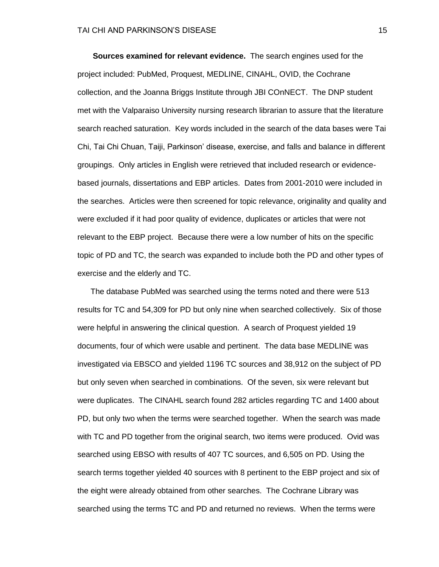**Sources examined for relevant evidence.** The search engines used for the project included: PubMed, Proquest, MEDLINE, CINAHL, OVID, the Cochrane collection, and the Joanna Briggs Institute through JBI COnNECT. The DNP student met with the Valparaiso University nursing research librarian to assure that the literature search reached saturation. Key words included in the search of the data bases were Tai Chi, Tai Chi Chuan, Taiji, Parkinson' disease, exercise, and falls and balance in different groupings. Only articles in English were retrieved that included research or evidencebased journals, dissertations and EBP articles. Dates from 2001-2010 were included in the searches. Articles were then screened for topic relevance, originality and quality and were excluded if it had poor quality of evidence, duplicates or articles that were not relevant to the EBP project. Because there were a low number of hits on the specific topic of PD and TC, the search was expanded to include both the PD and other types of exercise and the elderly and TC.

 The database PubMed was searched using the terms noted and there were 513 results for TC and 54,309 for PD but only nine when searched collectively. Six of those were helpful in answering the clinical question. A search of Proquest yielded 19 documents, four of which were usable and pertinent. The data base MEDLINE was investigated via EBSCO and yielded 1196 TC sources and 38,912 on the subject of PD but only seven when searched in combinations. Of the seven, six were relevant but were duplicates. The CINAHL search found 282 articles regarding TC and 1400 about PD, but only two when the terms were searched together. When the search was made with TC and PD together from the original search, two items were produced. Ovid was searched using EBSO with results of 407 TC sources, and 6,505 on PD. Using the search terms together yielded 40 sources with 8 pertinent to the EBP project and six of the eight were already obtained from other searches. The Cochrane Library was searched using the terms TC and PD and returned no reviews. When the terms were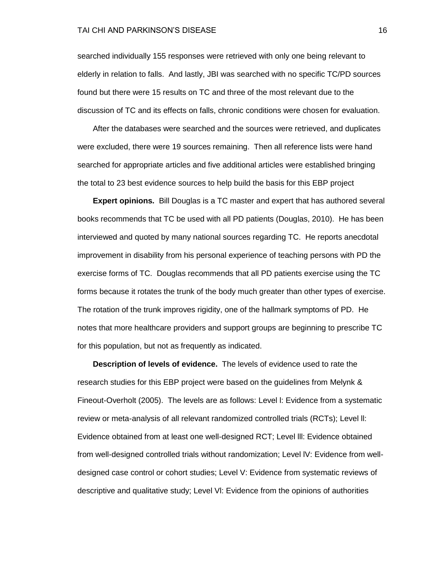searched individually 155 responses were retrieved with only one being relevant to elderly in relation to falls. And lastly, JBI was searched with no specific TC/PD sources found but there were 15 results on TC and three of the most relevant due to the discussion of TC and its effects on falls, chronic conditions were chosen for evaluation.

 After the databases were searched and the sources were retrieved, and duplicates were excluded, there were 19 sources remaining. Then all reference lists were hand searched for appropriate articles and five additional articles were established bringing the total to 23 best evidence sources to help build the basis for this EBP project

 **Expert opinions.** Bill Douglas is a TC master and expert that has authored several books recommends that TC be used with all PD patients (Douglas, 2010). He has been interviewed and quoted by many national sources regarding TC. He reports anecdotal improvement in disability from his personal experience of teaching persons with PD the exercise forms of TC. Douglas recommends that all PD patients exercise using the TC forms because it rotates the trunk of the body much greater than other types of exercise. The rotation of the trunk improves rigidity, one of the hallmark symptoms of PD. He notes that more healthcare providers and support groups are beginning to prescribe TC for this population, but not as frequently as indicated.

 **Description of levels of evidence.** The levels of evidence used to rate the research studies for this EBP project were based on the guidelines from Melynk & Fineout-Overholt (2005). The levels are as follows: Level l: Evidence from a systematic review or meta-analysis of all relevant randomized controlled trials (RCTs); Level ll: Evidence obtained from at least one well-designed RCT; Level lll: Evidence obtained from well-designed controlled trials without randomization; Level lV: Evidence from welldesigned case control or cohort studies; Level V: Evidence from systematic reviews of descriptive and qualitative study; Level Vl: Evidence from the opinions of authorities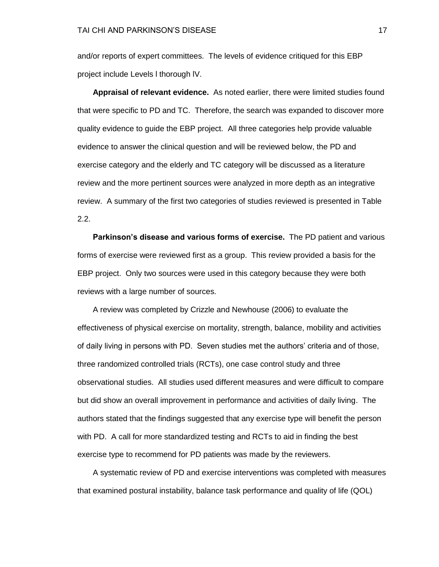and/or reports of expert committees. The levels of evidence critiqued for this EBP project include Levels l thorough lV.

 **Appraisal of relevant evidence.** As noted earlier, there were limited studies found that were specific to PD and TC. Therefore, the search was expanded to discover more quality evidence to guide the EBP project. All three categories help provide valuable evidence to answer the clinical question and will be reviewed below, the PD and exercise category and the elderly and TC category will be discussed as a literature review and the more pertinent sources were analyzed in more depth as an integrative review. A summary of the first two categories of studies reviewed is presented in Table 2.2.

 **Parkinson's disease and various forms of exercise.** The PD patient and various forms of exercise were reviewed first as a group. This review provided a basis for the EBP project. Only two sources were used in this category because they were both reviews with a large number of sources.

 A review was completed by Crizzle and Newhouse (2006) to evaluate the effectiveness of physical exercise on mortality, strength, balance, mobility and activities of daily living in persons with PD. Seven studies met the authors' criteria and of those, three randomized controlled trials (RCTs), one case control study and three observational studies. All studies used different measures and were difficult to compare but did show an overall improvement in performance and activities of daily living. The authors stated that the findings suggested that any exercise type will benefit the person with PD. A call for more standardized testing and RCTs to aid in finding the best exercise type to recommend for PD patients was made by the reviewers.

 A systematic review of PD and exercise interventions was completed with measures that examined postural instability, balance task performance and quality of life (QOL)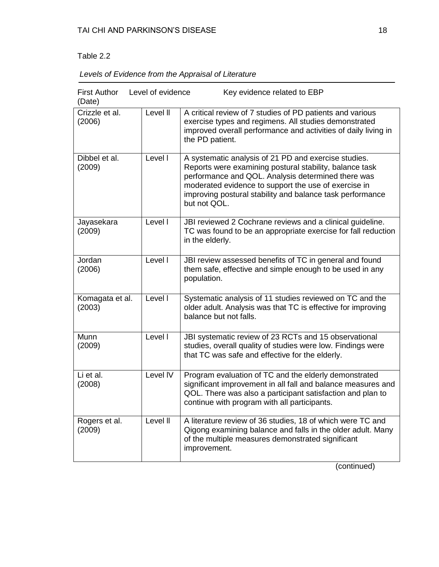### Table 2.2

| <b>First Author</b><br>(Date) | Level of evidence | Key evidence related to EBP                                                                                                                                                                                                                                                                                |
|-------------------------------|-------------------|------------------------------------------------------------------------------------------------------------------------------------------------------------------------------------------------------------------------------------------------------------------------------------------------------------|
| Crizzle et al.<br>(2006)      | Level II          | A critical review of 7 studies of PD patients and various<br>exercise types and regimens. All studies demonstrated<br>improved overall performance and activities of daily living in<br>the PD patient.                                                                                                    |
| Dibbel et al.<br>(2009)       | Level I           | A systematic analysis of 21 PD and exercise studies.<br>Reports were examining postural stability, balance task<br>performance and QOL. Analysis determined there was<br>moderated evidence to support the use of exercise in<br>improving postural stability and balance task performance<br>but not QOL. |
| Jayasekara<br>(2009)          | Level I           | JBI reviewed 2 Cochrane reviews and a clinical guideline.<br>TC was found to be an appropriate exercise for fall reduction<br>in the elderly.                                                                                                                                                              |
| Jordan<br>(2006)              | Level I           | JBI review assessed benefits of TC in general and found<br>them safe, effective and simple enough to be used in any<br>population.                                                                                                                                                                         |
| Komagata et al.<br>(2003)     | Level I           | Systematic analysis of 11 studies reviewed on TC and the<br>older adult. Analysis was that TC is effective for improving<br>balance but not falls.                                                                                                                                                         |
| Munn<br>(2009)                | Level I           | JBI systematic review of 23 RCTs and 15 observational<br>studies, overall quality of studies were low. Findings were<br>that TC was safe and effective for the elderly.                                                                                                                                    |
| Li et al.<br>(2008)           | Level IV          | Program evaluation of TC and the elderly demonstrated<br>significant improvement in all fall and balance measures and<br>QOL. There was also a participant satisfaction and plan to<br>continue with program with all participants.                                                                        |
| Rogers et al.<br>(2009)       | Level II          | A literature review of 36 studies, 18 of which were TC and<br>Qigong examining balance and falls in the older adult. Many<br>of the multiple measures demonstrated significant<br>improvement.                                                                                                             |

(continued)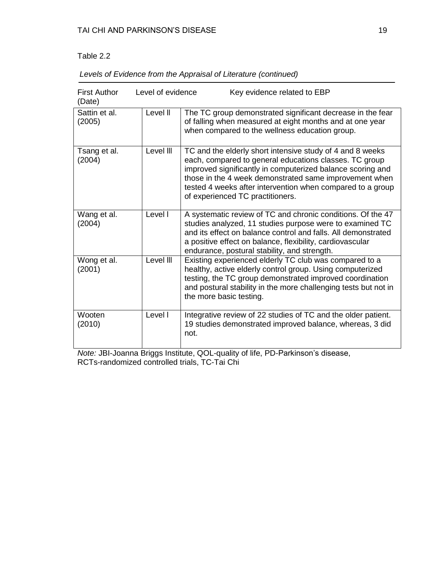# Table 2.2

| <b>First Author</b><br>(Date) | Level of evidence | Key evidence related to EBP                                                                                                                                                                                                                                                                                                                   |
|-------------------------------|-------------------|-----------------------------------------------------------------------------------------------------------------------------------------------------------------------------------------------------------------------------------------------------------------------------------------------------------------------------------------------|
| Sattin et al.<br>(2005)       | Level II          | The TC group demonstrated significant decrease in the fear<br>of falling when measured at eight months and at one year<br>when compared to the wellness education group.                                                                                                                                                                      |
| Tsang et al.<br>(2004)        | Level III         | TC and the elderly short intensive study of 4 and 8 weeks<br>each, compared to general educations classes. TC group<br>improved significantly in computerized balance scoring and<br>those in the 4 week demonstrated same improvement when<br>tested 4 weeks after intervention when compared to a group<br>of experienced TC practitioners. |
| Wang et al.<br>(2004)         | Level I           | A systematic review of TC and chronic conditions. Of the 47<br>studies analyzed, 11 studies purpose were to examined TC<br>and its effect on balance control and falls. All demonstrated<br>a positive effect on balance, flexibility, cardiovascular<br>endurance, postural stability, and strength.                                         |
| Wong et al.<br>(2001)         | Level III         | Existing experienced elderly TC club was compared to a<br>healthy, active elderly control group. Using computerized<br>testing, the TC group demonstrated improved coordination<br>and postural stability in the more challenging tests but not in<br>the more basic testing.                                                                 |
| Wooten<br>(2010)              | Level I           | Integrative review of 22 studies of TC and the older patient.<br>19 studies demonstrated improved balance, whereas, 3 did<br>not.                                                                                                                                                                                                             |

*Note:* JBI-Joanna Briggs Institute, QOL-quality of life, PD-Parkinson's disease, RCTs-randomized controlled trials, TC-Tai Chi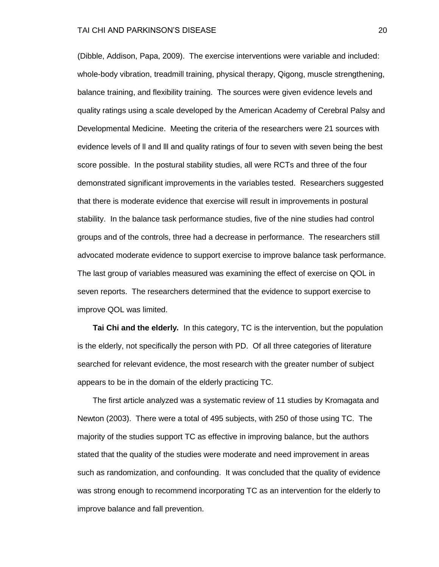#### TAI CHI AND PARKINSON'S DISEASE 20

(Dibble, Addison, Papa, 2009). The exercise interventions were variable and included: whole-body vibration, treadmill training, physical therapy, Qigong, muscle strengthening, balance training, and flexibility training. The sources were given evidence levels and quality ratings using a scale developed by the American Academy of Cerebral Palsy and Developmental Medicine. Meeting the criteria of the researchers were 21 sources with evidence levels of ll and lll and quality ratings of four to seven with seven being the best score possible. In the postural stability studies, all were RCTs and three of the four demonstrated significant improvements in the variables tested. Researchers suggested that there is moderate evidence that exercise will result in improvements in postural stability. In the balance task performance studies, five of the nine studies had control groups and of the controls, three had a decrease in performance. The researchers still advocated moderate evidence to support exercise to improve balance task performance. The last group of variables measured was examining the effect of exercise on QOL in seven reports. The researchers determined that the evidence to support exercise to improve QOL was limited.

 **Tai Chi and the elderly***.* In this category, TC is the intervention, but the population is the elderly, not specifically the person with PD. Of all three categories of literature searched for relevant evidence, the most research with the greater number of subject appears to be in the domain of the elderly practicing TC.

 The first article analyzed was a systematic review of 11 studies by Kromagata and Newton (2003). There were a total of 495 subjects, with 250 of those using TC. The majority of the studies support TC as effective in improving balance, but the authors stated that the quality of the studies were moderate and need improvement in areas such as randomization, and confounding. It was concluded that the quality of evidence was strong enough to recommend incorporating TC as an intervention for the elderly to improve balance and fall prevention.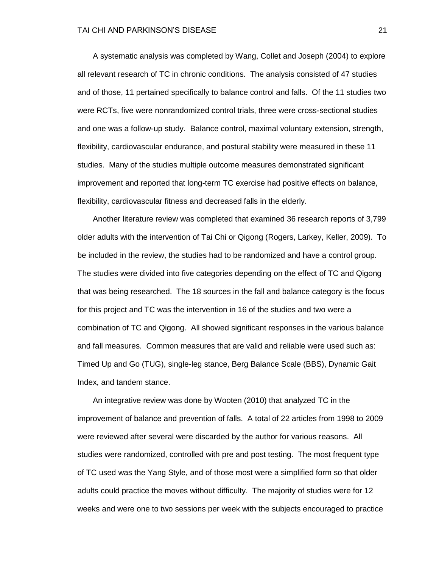A systematic analysis was completed by Wang, Collet and Joseph (2004) to explore all relevant research of TC in chronic conditions. The analysis consisted of 47 studies and of those, 11 pertained specifically to balance control and falls. Of the 11 studies two were RCTs, five were nonrandomized control trials, three were cross-sectional studies and one was a follow-up study. Balance control, maximal voluntary extension, strength, flexibility, cardiovascular endurance, and postural stability were measured in these 11 studies. Many of the studies multiple outcome measures demonstrated significant improvement and reported that long-term TC exercise had positive effects on balance, flexibility, cardiovascular fitness and decreased falls in the elderly.

 Another literature review was completed that examined 36 research reports of 3,799 older adults with the intervention of Tai Chi or Qigong (Rogers, Larkey, Keller, 2009). To be included in the review, the studies had to be randomized and have a control group. The studies were divided into five categories depending on the effect of TC and Qigong that was being researched. The 18 sources in the fall and balance category is the focus for this project and TC was the intervention in 16 of the studies and two were a combination of TC and Qigong. All showed significant responses in the various balance and fall measures. Common measures that are valid and reliable were used such as: Timed Up and Go (TUG), single-leg stance, Berg Balance Scale (BBS), Dynamic Gait Index, and tandem stance.

 An integrative review was done by Wooten (2010) that analyzed TC in the improvement of balance and prevention of falls. A total of 22 articles from 1998 to 2009 were reviewed after several were discarded by the author for various reasons. All studies were randomized, controlled with pre and post testing. The most frequent type of TC used was the Yang Style, and of those most were a simplified form so that older adults could practice the moves without difficulty. The majority of studies were for 12 weeks and were one to two sessions per week with the subjects encouraged to practice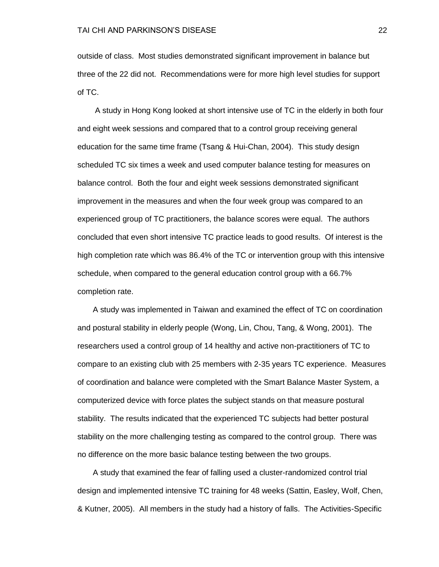outside of class. Most studies demonstrated significant improvement in balance but three of the 22 did not. Recommendations were for more high level studies for support of TC.

 A study in Hong Kong looked at short intensive use of TC in the elderly in both four and eight week sessions and compared that to a control group receiving general education for the same time frame (Tsang & Hui-Chan, 2004). This study design scheduled TC six times a week and used computer balance testing for measures on balance control. Both the four and eight week sessions demonstrated significant improvement in the measures and when the four week group was compared to an experienced group of TC practitioners, the balance scores were equal. The authors concluded that even short intensive TC practice leads to good results. Of interest is the high completion rate which was 86.4% of the TC or intervention group with this intensive schedule, when compared to the general education control group with a 66.7% completion rate.

 A study was implemented in Taiwan and examined the effect of TC on coordination and postural stability in elderly people (Wong, Lin, Chou, Tang, & Wong, 2001). The researchers used a control group of 14 healthy and active non-practitioners of TC to compare to an existing club with 25 members with 2-35 years TC experience. Measures of coordination and balance were completed with the Smart Balance Master System, a computerized device with force plates the subject stands on that measure postural stability. The results indicated that the experienced TC subjects had better postural stability on the more challenging testing as compared to the control group. There was no difference on the more basic balance testing between the two groups.

 A study that examined the fear of falling used a cluster-randomized control trial design and implemented intensive TC training for 48 weeks (Sattin, Easley, Wolf, Chen, & Kutner, 2005). All members in the study had a history of falls. The Activities-Specific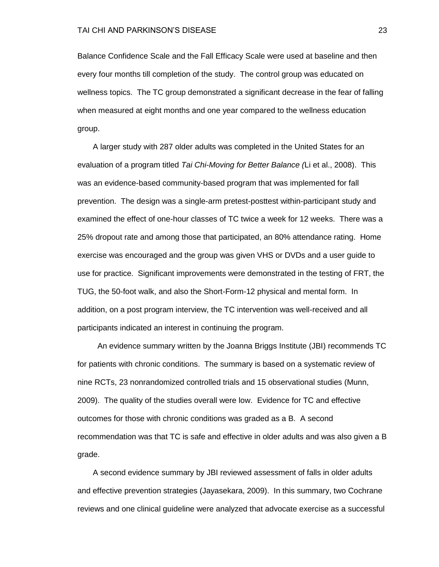Balance Confidence Scale and the Fall Efficacy Scale were used at baseline and then every four months till completion of the study. The control group was educated on wellness topics. The TC group demonstrated a significant decrease in the fear of falling when measured at eight months and one year compared to the wellness education group.

 A larger study with 287 older adults was completed in the United States for an evaluation of a program titled *Tai Chi-Moving for Better Balance (*Li et al., 2008). This was an evidence-based community-based program that was implemented for fall prevention. The design was a single-arm pretest-posttest within-participant study and examined the effect of one-hour classes of TC twice a week for 12 weeks. There was a 25% dropout rate and among those that participated, an 80% attendance rating. Home exercise was encouraged and the group was given VHS or DVDs and a user guide to use for practice. Significant improvements were demonstrated in the testing of FRT, the TUG, the 50-foot walk, and also the Short-Form-12 physical and mental form. In addition, on a post program interview, the TC intervention was well-received and all participants indicated an interest in continuing the program.

 An evidence summary written by the Joanna Briggs Institute (JBI) recommends TC for patients with chronic conditions. The summary is based on a systematic review of nine RCTs, 23 nonrandomized controlled trials and 15 observational studies (Munn, 2009). The quality of the studies overall were low. Evidence for TC and effective outcomes for those with chronic conditions was graded as a B. A second recommendation was that TC is safe and effective in older adults and was also given a B grade.

 A second evidence summary by JBI reviewed assessment of falls in older adults and effective prevention strategies (Jayasekara, 2009). In this summary, two Cochrane reviews and one clinical guideline were analyzed that advocate exercise as a successful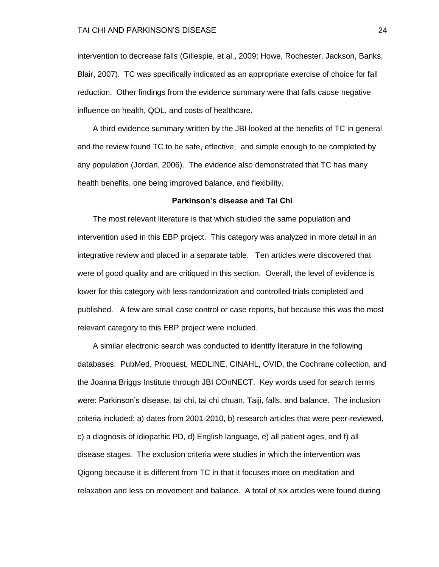intervention to decrease falls (Gillespie, et al., 2009; Howe, Rochester, Jackson, Banks, Blair, 2007). TC was specifically indicated as an appropriate exercise of choice for fall reduction. Other findings from the evidence summary were that falls cause negative influence on health, QOL, and costs of healthcare.

 A third evidence summary written by the JBI looked at the benefits of TC in general and the review found TC to be safe, effective, and simple enough to be completed by any population (Jordan, 2006). The evidence also demonstrated that TC has many health benefits, one being improved balance, and flexibility.

#### **Parkinson's disease and Tai Chi**

The most relevant literature is that which studied the same population and intervention used in this EBP project. This category was analyzed in more detail in an integrative review and placed in a separate table. Ten articles were discovered that were of good quality and are critiqued in this section. Overall, the level of evidence is lower for this category with less randomization and controlled trials completed and published. A few are small case control or case reports, but because this was the most relevant category to this EBP project were included.

 A similar electronic search was conducted to identify literature in the following databases: PubMed, Proquest, MEDLINE, CINAHL, OVID, the Cochrane collection, and the Joanna Briggs Institute through JBI COnNECT. Key words used for search terms were: Parkinson's disease, tai chi, tai chi chuan, Taiji, falls, and balance. The inclusion criteria included: a) dates from 2001-2010, b) research articles that were peer-reviewed, c) a diagnosis of idiopathic PD, d) English language, e) all patient ages, and f) all disease stages. The exclusion criteria were studies in which the intervention was Qigong because it is different from TC in that it focuses more on meditation and relaxation and less on movement and balance. A total of six articles were found during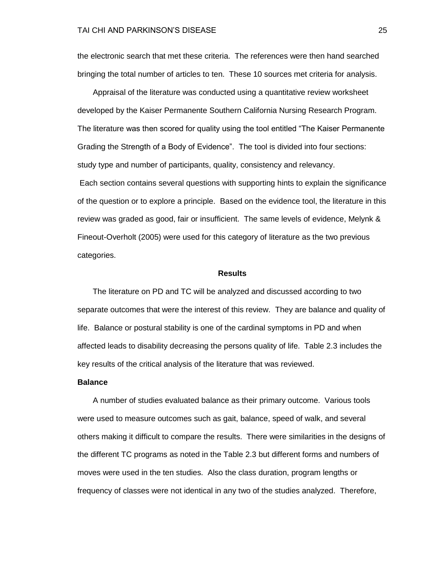the electronic search that met these criteria. The references were then hand searched bringing the total number of articles to ten. These 10 sources met criteria for analysis.

 Appraisal of the literature was conducted using a quantitative review worksheet developed by the Kaiser Permanente Southern California Nursing Research Program. The literature was then scored for quality using the tool entitled "The Kaiser Permanente" Grading the Strength of a Body of Evidence". The tool is divided into four sections: study type and number of participants, quality, consistency and relevancy.

Each section contains several questions with supporting hints to explain the significance of the question or to explore a principle. Based on the evidence tool, the literature in this review was graded as good, fair or insufficient. The same levels of evidence, Melynk & Fineout-Overholt (2005) were used for this category of literature as the two previous categories.

#### **Results**

 The literature on PD and TC will be analyzed and discussed according to two separate outcomes that were the interest of this review. They are balance and quality of life. Balance or postural stability is one of the cardinal symptoms in PD and when affected leads to disability decreasing the persons quality of life. Table 2.3 includes the key results of the critical analysis of the literature that was reviewed.

#### **Balance**

A number of studies evaluated balance as their primary outcome. Various tools were used to measure outcomes such as gait, balance, speed of walk, and several others making it difficult to compare the results. There were similarities in the designs of the different TC programs as noted in the Table 2.3 but different forms and numbers of moves were used in the ten studies. Also the class duration, program lengths or frequency of classes were not identical in any two of the studies analyzed. Therefore,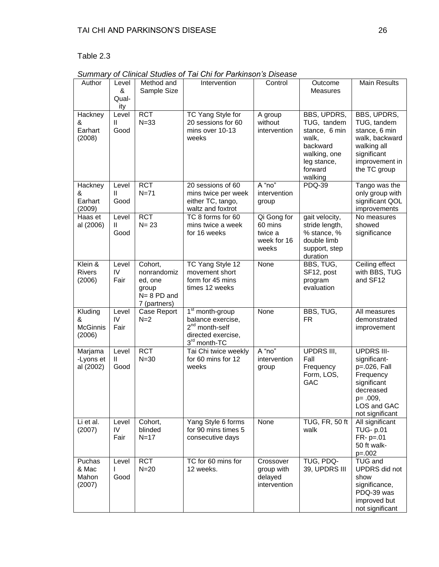# Table 2.3

| Author                                    | Level<br>&<br>Qual-<br>ity    | Method and<br>Sample Size                                                    | Intervention                                                                                     | Control                                                   | Outcome<br>Measures                                                                                                   | <b>Main Results</b>                                                                                                                      |
|-------------------------------------------|-------------------------------|------------------------------------------------------------------------------|--------------------------------------------------------------------------------------------------|-----------------------------------------------------------|-----------------------------------------------------------------------------------------------------------------------|------------------------------------------------------------------------------------------------------------------------------------------|
| Hackney<br>&<br>Earhart<br>(2008)         | Level<br>Ш<br>Good            | <b>RCT</b><br>$N = 33$                                                       | <b>TC Yang Style for</b><br>20 sessions for 60<br>mins over 10-13<br>weeks                       | A group<br>without<br>intervention                        | BBS, UPDRS,<br>TUG, tandem<br>stance, 6 min<br>walk,<br>backward<br>walking, one<br>leg stance,<br>forward<br>walking | BBS, UPDRS,<br>TUG, tandem<br>stance, 6 min<br>walk, backward<br>walking all<br>significant<br>improvement in<br>the TC group            |
| Hackney<br>&<br>Earhart<br>(2009)         | Level<br>$\mathbf{H}$<br>Good | <b>RCT</b><br>$N=71$                                                         | 20 sessions of 60<br>mins twice per week<br>either TC, tango,<br>waltz and foxtrot               | A "no"<br>intervention<br>group                           | <b>PDQ-39</b>                                                                                                         | Tango was the<br>only group with<br>significant QOL<br>improvements                                                                      |
| Haas et<br>al (2006)                      | Level<br>$\mathbf{H}$<br>Good | <b>RCT</b><br>$N = 23$                                                       | TC 8 forms for 60<br>mins twice a week<br>for 16 weeks                                           | Qi Gong for<br>60 mins<br>twice a<br>week for 16<br>weeks | gait velocity,<br>stride length,<br>% stance, %<br>double limb<br>support, step<br>duration                           | No measures<br>showed<br>significance                                                                                                    |
| Klein &<br>Rivers<br>(2006)               | Level<br>IV<br>Fair           | Cohort,<br>nonrandomiz<br>ed, one<br>group<br>$N = 8$ PD and<br>7 (partners) | TC Yang Style 12<br>movement short<br>form for 45 mins<br>times 12 weeks                         | None                                                      | BBS, TUG,<br>SF12, post<br>program<br>evaluation                                                                      | Ceiling effect<br>with BBS, TUG<br>and SF12                                                                                              |
| Kluding<br>&<br><b>McGinnis</b><br>(2006) | Level<br>IV<br>Fair           | Case Report<br>$N=2$                                                         | $1st$ month-group<br>balance exercise,<br>$2nd$ month-self<br>directed exercise,<br>3rd month-TC | None                                                      | BBS, TUG,<br><b>FR</b>                                                                                                | All measures<br>demonstrated<br>improvement                                                                                              |
| Marjama<br>-Lyons et<br>al (2002)         | Level<br>Ш<br>Good            | <b>RCT</b><br>$N = 30$                                                       | Tai Chi twice weekly<br>for 60 mins for 12<br>weeks                                              | A "no"<br>intervention<br>group                           | UPDRS III,<br>Fall<br>Frequency<br>Form, LOS,<br>GAC                                                                  | <b>UPDRS III-</b><br>significant-<br>p=.026, Fall<br>Frequency<br>significant<br>decreased<br>p= .009,<br>LOS and GAC<br>not significant |
| Li et al.<br>(2007)                       | Level<br>IV<br>Fair           | Cohort,<br>blinded<br>$N = 17$                                               | Yang Style 6 forms<br>for 90 mins times 5<br>consecutive days                                    | None                                                      | <b>TUG, FR, 50 ft</b><br>walk                                                                                         | All significant<br><b>TUG- p.01</b><br>$FR - p = .01$<br>50 ft walk-<br>$p=.002$                                                         |
| Puchas<br>& Mac<br>Mahon<br>(2007)        | Level<br>L<br>Good            | <b>RCT</b><br>$N=20$                                                         | TC for 60 mins for<br>12 weeks.                                                                  | Crossover<br>group with<br>delayed<br>intervention        | TUG, PDQ-<br>39, UPDRS III                                                                                            | TUG and<br><b>UPDRS</b> did not<br>show<br>significance,<br>PDQ-39 was<br>improved but<br>not significant                                |

*Summary of Clinical Studies of Tai Chi for Parkinson's Disease*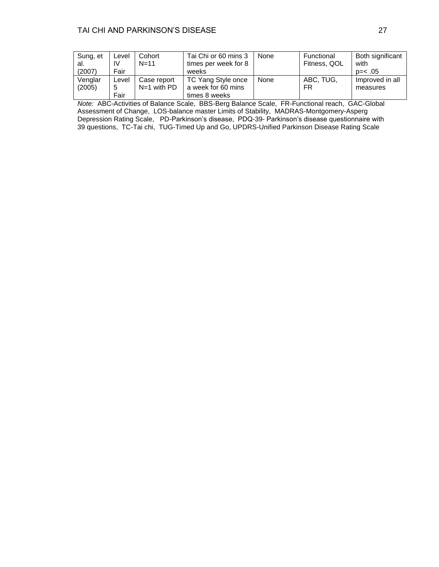| Sung, et | Level | Cohort        | Tai Chi or 60 mins 3 | None | Functional   | Both significant |
|----------|-------|---------------|----------------------|------|--------------|------------------|
| al.      | IV    | $N=11$        | times per week for 8 |      | Fitness, QOL | with             |
| (2007)   | Fair  |               | weeks                |      |              | $p = < .05$      |
| Venglar  | Level | Case report   | TC Yang Style once   | None | ABC. TUG.    | Improved in all  |
| (2005)   | 5     | $N=1$ with PD | a week for 60 mins   |      | FR           | measures         |
|          | Fair  |               | times 8 weeks        |      |              |                  |

*Note:* ABC-Activities of Balance Scale, BBS-Berg Balance Scale, FR-Functional reach, GAC-Global Assessment of Change, LOS-balance master Limits of Stability, MADRAS-Montgomery-Asperg Depression Rating Scale, PD-Parkinson's disease, PDQ-39- Parkinson's disease questionnaire with 39 questions, TC-Tai chi, TUG-Timed Up and Go, UPDRS-Unified Parkinson Disease Rating Scale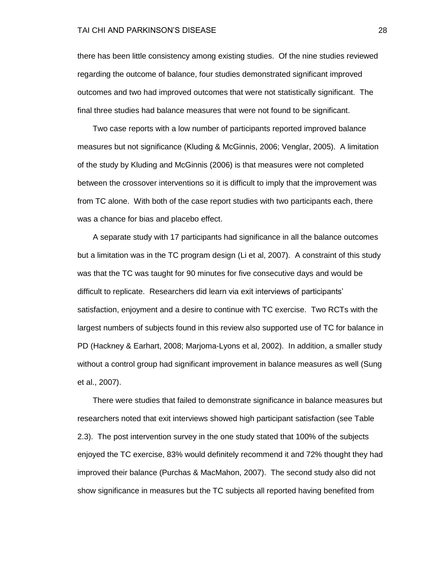#### TAI CHI AND PARKINSON'S DISEASE 28

there has been little consistency among existing studies. Of the nine studies reviewed regarding the outcome of balance, four studies demonstrated significant improved outcomes and two had improved outcomes that were not statistically significant. The final three studies had balance measures that were not found to be significant.

 Two case reports with a low number of participants reported improved balance measures but not significance (Kluding & McGinnis, 2006; Venglar, 2005). A limitation of the study by Kluding and McGinnis (2006) is that measures were not completed between the crossover interventions so it is difficult to imply that the improvement was from TC alone. With both of the case report studies with two participants each, there was a chance for bias and placebo effect.

 A separate study with 17 participants had significance in all the balance outcomes but a limitation was in the TC program design (Li et al, 2007). A constraint of this study was that the TC was taught for 90 minutes for five consecutive days and would be difficult to replicate. Researchers did learn via exit interviews of participants' satisfaction, enjoyment and a desire to continue with TC exercise. Two RCTs with the largest numbers of subjects found in this review also supported use of TC for balance in PD (Hackney & Earhart, 2008; Marjoma-Lyons et al, 2002). In addition, a smaller study without a control group had significant improvement in balance measures as well (Sung et al., 2007).

There were studies that failed to demonstrate significance in balance measures but researchers noted that exit interviews showed high participant satisfaction (see Table 2.3). The post intervention survey in the one study stated that 100% of the subjects enjoyed the TC exercise, 83% would definitely recommend it and 72% thought they had improved their balance (Purchas & MacMahon, 2007). The second study also did not show significance in measures but the TC subjects all reported having benefited from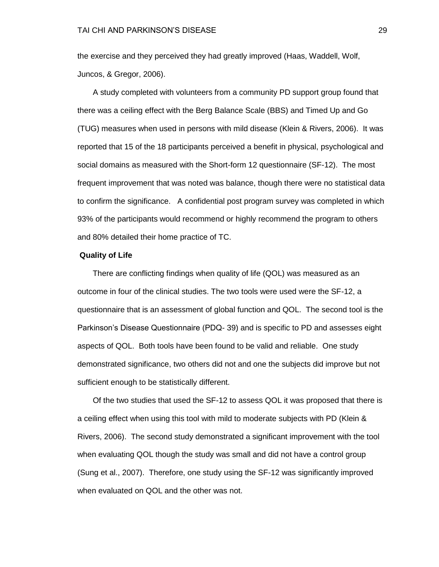the exercise and they perceived they had greatly improved (Haas, Waddell, Wolf, Juncos, & Gregor, 2006).

 A study completed with volunteers from a community PD support group found that there was a ceiling effect with the Berg Balance Scale (BBS) and Timed Up and Go (TUG) measures when used in persons with mild disease (Klein & Rivers, 2006). It was reported that 15 of the 18 participants perceived a benefit in physical, psychological and social domains as measured with the Short-form 12 questionnaire (SF-12). The most frequent improvement that was noted was balance, though there were no statistical data to confirm the significance. A confidential post program survey was completed in which 93% of the participants would recommend or highly recommend the program to others and 80% detailed their home practice of TC.

### **Quality of Life**

 There are conflicting findings when quality of life (QOL) was measured as an outcome in four of the clinical studies. The two tools were used were the SF-12, a questionnaire that is an assessment of global function and QOL. The second tool is the Parkinson's Disease Questionnaire (PDQ- 39) and is specific to PD and assesses eight aspects of QOL. Both tools have been found to be valid and reliable. One study demonstrated significance, two others did not and one the subjects did improve but not sufficient enough to be statistically different.

 Of the two studies that used the SF-12 to assess QOL it was proposed that there is a ceiling effect when using this tool with mild to moderate subjects with PD (Klein & Rivers, 2006). The second study demonstrated a significant improvement with the tool when evaluating QOL though the study was small and did not have a control group (Sung et al., 2007). Therefore, one study using the SF-12 was significantly improved when evaluated on QOL and the other was not.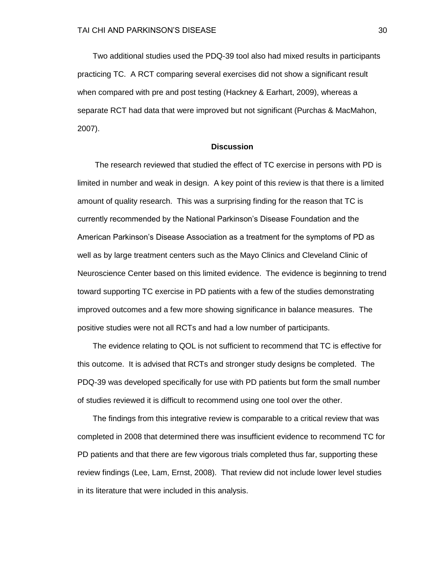Two additional studies used the PDQ-39 tool also had mixed results in participants practicing TC. A RCT comparing several exercises did not show a significant result when compared with pre and post testing (Hackney & Earhart, 2009), whereas a separate RCT had data that were improved but not significant (Purchas & MacMahon, 2007).

### **Discussion**

 The research reviewed that studied the effect of TC exercise in persons with PD is limited in number and weak in design. A key point of this review is that there is a limited amount of quality research. This was a surprising finding for the reason that TC is currently recommended by the National Parkinson's Disease Foundation and the American Parkinson's Disease Association as a treatment for the symptoms of PD as well as by large treatment centers such as the Mayo Clinics and Cleveland Clinic of Neuroscience Center based on this limited evidence. The evidence is beginning to trend toward supporting TC exercise in PD patients with a few of the studies demonstrating improved outcomes and a few more showing significance in balance measures. The positive studies were not all RCTs and had a low number of participants.

 The evidence relating to QOL is not sufficient to recommend that TC is effective for this outcome. It is advised that RCTs and stronger study designs be completed. The PDQ-39 was developed specifically for use with PD patients but form the small number of studies reviewed it is difficult to recommend using one tool over the other.

 The findings from this integrative review is comparable to a critical review that was completed in 2008 that determined there was insufficient evidence to recommend TC for PD patients and that there are few vigorous trials completed thus far, supporting these review findings (Lee, Lam, Ernst, 2008). That review did not include lower level studies in its literature that were included in this analysis.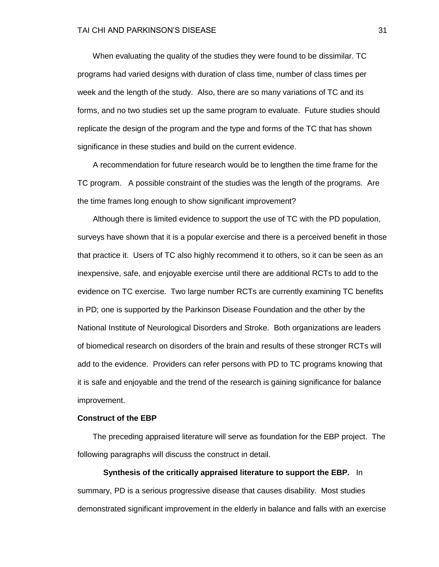When evaluating the quality of the studies they were found to be dissimilar. TC programs had varied designs with duration of class time, number of class times per week and the length of the study. Also, there are so many variations of TC and its forms, and no two studies set up the same program to evaluate. Future studies should replicate the design of the program and the type and forms of the TC that has shown significance in these studies and build on the current evidence.

 A recommendation for future research would be to lengthen the time frame for the TC program. A possible constraint of the studies was the length of the programs. Are the time frames long enough to show significant improvement?

 Although there is limited evidence to support the use of TC with the PD population, surveys have shown that it is a popular exercise and there is a perceived benefit in those that practice it. Users of TC also highly recommend it to others, so it can be seen as an inexpensive, safe, and enjoyable exercise until there are additional RCTs to add to the evidence on TC exercise. Two large number RCTs are currently examining TC benefits in PD; one is supported by the Parkinson Disease Foundation and the other by the National Institute of Neurological Disorders and Stroke. Both organizations are leaders of biomedical research on disorders of the brain and results of these stronger RCTs will add to the evidence. Providers can refer persons with PD to TC programs knowing that it is safe and enjoyable and the trend of the research is gaining significance for balance improvement.

### **Construct of the EBP**

The preceding appraised literature will serve as foundation for the EBP project. The following paragraphs will discuss the construct in detail.

**Synthesis of the critically appraised literature to support the EBP.** In summary, PD is a serious progressive disease that causes disability. Most studies demonstrated significant improvement in the elderly in balance and falls with an exercise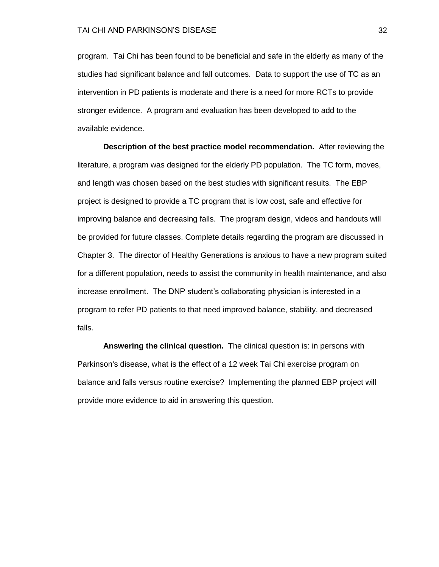program. Tai Chi has been found to be beneficial and safe in the elderly as many of the studies had significant balance and fall outcomes. Data to support the use of TC as an intervention in PD patients is moderate and there is a need for more RCTs to provide stronger evidence. A program and evaluation has been developed to add to the available evidence.

**Description of the best practice model recommendation.** After reviewing the literature, a program was designed for the elderly PD population. The TC form, moves, and length was chosen based on the best studies with significant results. The EBP project is designed to provide a TC program that is low cost, safe and effective for improving balance and decreasing falls. The program design, videos and handouts will be provided for future classes. Complete details regarding the program are discussed in Chapter 3. The director of Healthy Generations is anxious to have a new program suited for a different population, needs to assist the community in health maintenance, and also increase enrollment. The DNP student's collaborating physician is interested in a program to refer PD patients to that need improved balance, stability, and decreased falls.

**Answering the clinical question.** The clinical question is: in persons with Parkinson's disease, what is the effect of a 12 week Tai Chi exercise program on balance and falls versus routine exercise? Implementing the planned EBP project will provide more evidence to aid in answering this question.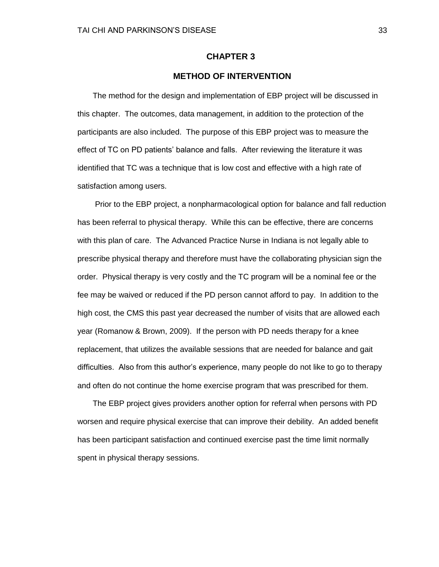## **CHAPTER 3**

## **METHOD OF INTERVENTION**

 The method for the design and implementation of EBP project will be discussed in this chapter. The outcomes, data management, in addition to the protection of the participants are also included. The purpose of this EBP project was to measure the effect of TC on PD patients' balance and falls. After reviewing the literature it was identified that TC was a technique that is low cost and effective with a high rate of satisfaction among users.

 Prior to the EBP project, a nonpharmacological option for balance and fall reduction has been referral to physical therapy. While this can be effective, there are concerns with this plan of care. The Advanced Practice Nurse in Indiana is not legally able to prescribe physical therapy and therefore must have the collaborating physician sign the order. Physical therapy is very costly and the TC program will be a nominal fee or the fee may be waived or reduced if the PD person cannot afford to pay. In addition to the high cost, the CMS this past year decreased the number of visits that are allowed each year (Romanow & Brown, 2009). If the person with PD needs therapy for a knee replacement, that utilizes the available sessions that are needed for balance and gait difficulties. Also from this author's experience, many people do not like to go to therapy and often do not continue the home exercise program that was prescribed for them.

 The EBP project gives providers another option for referral when persons with PD worsen and require physical exercise that can improve their debility. An added benefit has been participant satisfaction and continued exercise past the time limit normally spent in physical therapy sessions.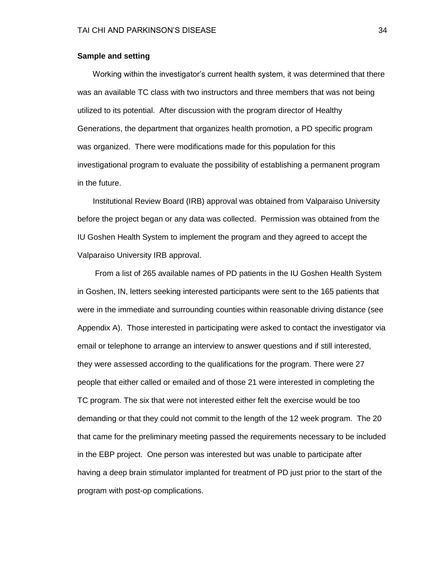### **Sample and setting**

Working within the investigator's current health system, it was determined that there was an available TC class with two instructors and three members that was not being utilized to its potential. After discussion with the program director of Healthy Generations, the department that organizes health promotion, a PD specific program was organized. There were modifications made for this population for this investigational program to evaluate the possibility of establishing a permanent program in the future.

Institutional Review Board (IRB) approval was obtained from Valparaiso University before the project began or any data was collected. Permission was obtained from the IU Goshen Health System to implement the program and they agreed to accept the Valparaiso University IRB approval.

 From a list of 265 available names of PD patients in the IU Goshen Health System in Goshen, IN, letters seeking interested participants were sent to the 165 patients that were in the immediate and surrounding counties within reasonable driving distance (see Appendix A). Those interested in participating were asked to contact the investigator via email or telephone to arrange an interview to answer questions and if still interested, they were assessed according to the qualifications for the program. There were 27 people that either called or emailed and of those 21 were interested in completing the TC program. The six that were not interested either felt the exercise would be too demanding or that they could not commit to the length of the 12 week program. The 20 that came for the preliminary meeting passed the requirements necessary to be included in the EBP project. One person was interested but was unable to participate after having a deep brain stimulator implanted for treatment of PD just prior to the start of the program with post-op complications.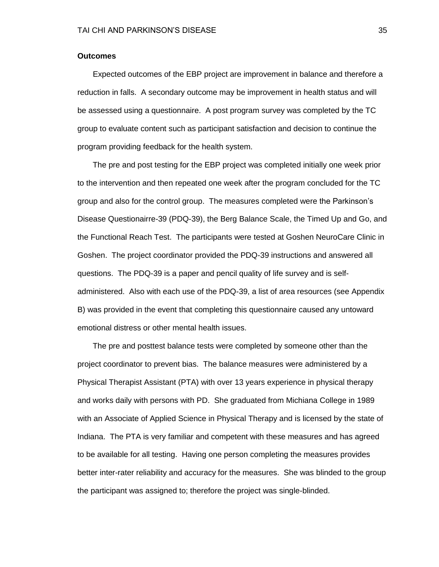### **Outcomes**

Expected outcomes of the EBP project are improvement in balance and therefore a reduction in falls. A secondary outcome may be improvement in health status and will be assessed using a questionnaire. A post program survey was completed by the TC group to evaluate content such as participant satisfaction and decision to continue the program providing feedback for the health system.

 The pre and post testing for the EBP project was completed initially one week prior to the intervention and then repeated one week after the program concluded for the TC group and also for the control group. The measures completed were the Parkinson's Disease Questionairre-39 (PDQ-39), the Berg Balance Scale, the Timed Up and Go, and the Functional Reach Test. The participants were tested at Goshen NeuroCare Clinic in Goshen. The project coordinator provided the PDQ-39 instructions and answered all questions. The PDQ-39 is a paper and pencil quality of life survey and is selfadministered. Also with each use of the PDQ-39, a list of area resources (see Appendix B) was provided in the event that completing this questionnaire caused any untoward emotional distress or other mental health issues.

 The pre and posttest balance tests were completed by someone other than the project coordinator to prevent bias. The balance measures were administered by a Physical Therapist Assistant (PTA) with over 13 years experience in physical therapy and works daily with persons with PD. She graduated from Michiana College in 1989 with an Associate of Applied Science in Physical Therapy and is licensed by the state of Indiana. The PTA is very familiar and competent with these measures and has agreed to be available for all testing. Having one person completing the measures provides better inter-rater reliability and accuracy for the measures. She was blinded to the group the participant was assigned to; therefore the project was single-blinded.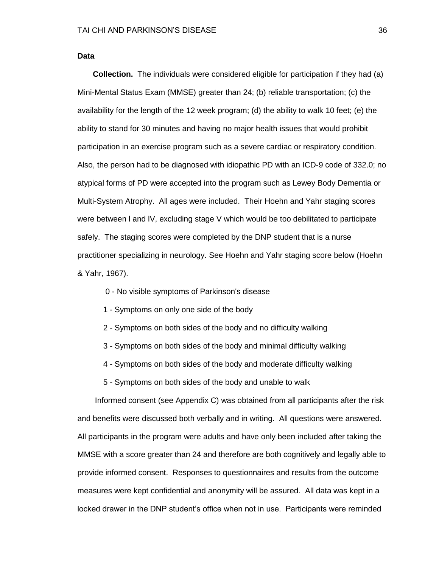**Data**

 **Collection.** The individuals were considered eligible for participation if they had (a) Mini-Mental Status Exam (MMSE) greater than 24; (b) reliable transportation; (c) the availability for the length of the 12 week program; (d) the ability to walk 10 feet; (e) the ability to stand for 30 minutes and having no major health issues that would prohibit participation in an exercise program such as a severe cardiac or respiratory condition. Also, the person had to be diagnosed with idiopathic PD with an ICD-9 code of 332.0; no atypical forms of PD were accepted into the program such as Lewey Body Dementia or Multi-System Atrophy. All ages were included. Their Hoehn and Yahr staging scores were between l and lV, excluding stage V which would be too debilitated to participate safely. The staging scores were completed by the DNP student that is a nurse practitioner specializing in neurology. See Hoehn and Yahr staging score below (Hoehn & Yahr, 1967).

- 0 No visible symptoms of Parkinson's disease
- 1 Symptoms on only one side of the body
- 2 Symptoms on both sides of the body and no difficulty walking
- 3 Symptoms on both sides of the body and minimal difficulty walking
- 4 Symptoms on both sides of the body and moderate difficulty walking
- 5 Symptoms on both sides of the body and unable to walk

 Informed consent (see Appendix C) was obtained from all participants after the risk and benefits were discussed both verbally and in writing. All questions were answered. All participants in the program were adults and have only been included after taking the MMSE with a score greater than 24 and therefore are both cognitively and legally able to provide informed consent. Responses to questionnaires and results from the outcome measures were kept confidential and anonymity will be assured. All data was kept in a locked drawer in the DNP student's office when not in use. Participants were reminded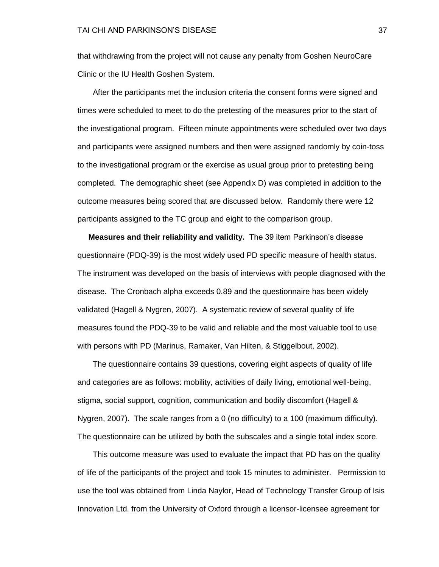that withdrawing from the project will not cause any penalty from Goshen NeuroCare Clinic or the IU Health Goshen System.

 After the participants met the inclusion criteria the consent forms were signed and times were scheduled to meet to do the pretesting of the measures prior to the start of the investigational program. Fifteen minute appointments were scheduled over two days and participants were assigned numbers and then were assigned randomly by coin-toss to the investigational program or the exercise as usual group prior to pretesting being completed. The demographic sheet (see Appendix D) was completed in addition to the outcome measures being scored that are discussed below. Randomly there were 12 participants assigned to the TC group and eight to the comparison group.

 **Measures and their reliability and validity.** The 39 item Parkinson's disease questionnaire (PDQ-39) is the most widely used PD specific measure of health status. The instrument was developed on the basis of interviews with people diagnosed with the disease. The Cronbach alpha exceeds 0.89 and the questionnaire has been widely validated (Hagell & Nygren, 2007). A systematic review of several quality of life measures found the PDQ-39 to be valid and reliable and the most valuable tool to use with persons with PD (Marinus, Ramaker, Van Hilten, & Stiggelbout, 2002).

 The questionnaire contains 39 questions, covering eight aspects of quality of life and categories are as follows: mobility, activities of daily living, emotional well-being, stigma, social support, cognition, communication and bodily discomfort (Hagell & Nygren, 2007). The scale ranges from a 0 (no difficulty) to a 100 (maximum difficulty). The questionnaire can be utilized by both the subscales and a single total index score.

 This outcome measure was used to evaluate the impact that PD has on the quality of life of the participants of the project and took 15 minutes to administer. Permission to use the tool was obtained from Linda Naylor, Head of Technology Transfer Group of Isis Innovation Ltd. from the University of Oxford through a licensor-licensee agreement for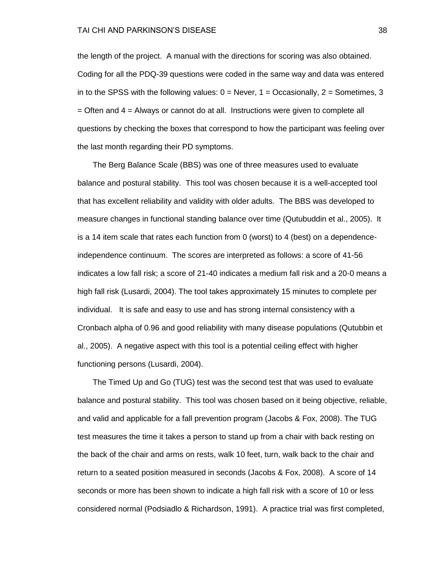the length of the project. A manual with the directions for scoring was also obtained. Coding for all the PDQ-39 questions were coded in the same way and data was entered in to the SPSS with the following values:  $0 =$  Never,  $1 =$  Occasionally,  $2 =$  Sometimes, 3  $=$  Often and  $4 =$  Always or cannot do at all. Instructions were given to complete all questions by checking the boxes that correspond to how the participant was feeling over the last month regarding their PD symptoms.

 The Berg Balance Scale (BBS) was one of three measures used to evaluate balance and postural stability. This tool was chosen because it is a well-accepted tool that has excellent reliability and validity with older adults. The BBS was developed to measure changes in functional standing balance over time (Qutubuddin et al., 2005). It is a 14 item scale that rates each function from 0 (worst) to 4 (best) on a dependenceindependence continuum. The scores are interpreted as follows: a score of 41-56 indicates a low fall risk; a score of 21-40 indicates a medium fall risk and a 20-0 means a high fall risk (Lusardi, 2004). The tool takes approximately 15 minutes to complete per individual. It is safe and easy to use and has strong internal consistency with a Cronbach alpha of 0.96 and good reliability with many disease populations (Qutubbin et al., 2005). A negative aspect with this tool is a potential ceiling effect with higher functioning persons (Lusardi, 2004).

 The Timed Up and Go (TUG) test was the second test that was used to evaluate balance and postural stability. This tool was chosen based on it being objective, reliable, and valid and applicable for a fall prevention program (Jacobs & Fox, 2008). The TUG test measures the time it takes a person to stand up from a chair with back resting on the back of the chair and arms on rests, walk 10 feet, turn, walk back to the chair and return to a seated position measured in seconds (Jacobs & Fox, 2008). A score of 14 seconds or more has been shown to indicate a high fall risk with a score of 10 or less considered normal (Podsiadlo & Richardson, 1991). A practice trial was first completed,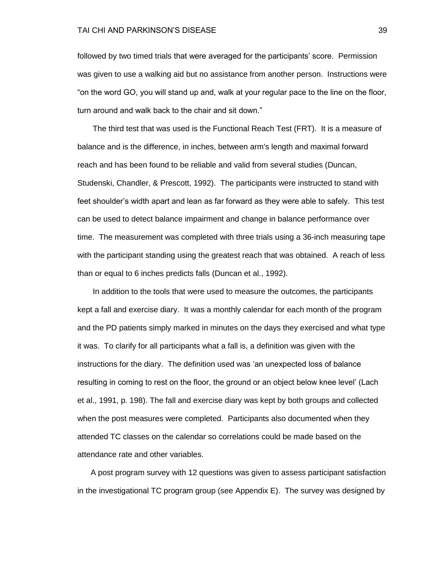#### TAI CHI AND PARKINSON'S DISEASE 39

followed by two timed trials that were averaged for the participants' score. Permission was given to use a walking aid but no assistance from another person. Instructions were " on the word GO, you will stand up and, walk at your regular pace to the line on the floor, turn around and walk back to the chair and sit down."

 The third test that was used is the Functional Reach Test (FRT). It is a measure of balance and is the difference, in inches, between arm's length and maximal forward reach and has been found to be reliable and valid from several studies (Duncan, Studenski, Chandler, & Prescott, 1992). The participants were instructed to stand with feet shoulder's width apart and lean as far forward as they were able to safely. This test can be used to detect balance impairment and change in balance performance over time. The measurement was completed with three trials using a 36-inch measuring tape with the participant standing using the greatest reach that was obtained. A reach of less than or equal to 6 inches predicts falls (Duncan et al., 1992).

 In addition to the tools that were used to measure the outcomes, the participants kept a fall and exercise diary. It was a monthly calendar for each month of the program and the PD patients simply marked in minutes on the days they exercised and what type it was. To clarify for all participants what a fall is, a definition was given with the instructions for the diary. The definition used was 'an unexpected loss of balance resulting in coming to rest on the floor, the ground or an object below knee level' (Lach et al., 1991, p. 198). The fall and exercise diary was kept by both groups and collected when the post measures were completed. Participants also documented when they attended TC classes on the calendar so correlations could be made based on the attendance rate and other variables.

 A post program survey with 12 questions was given to assess participant satisfaction in the investigational TC program group (see Appendix E). The survey was designed by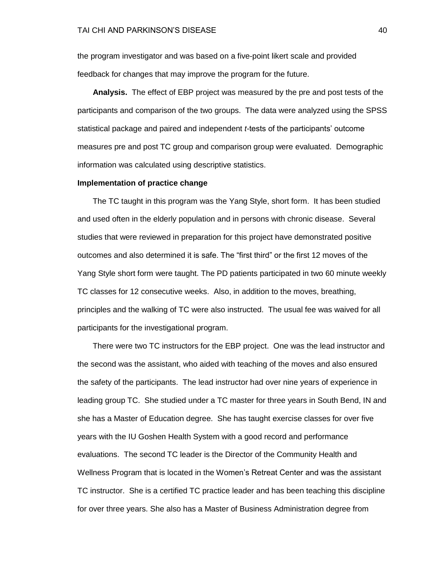the program investigator and was based on a five-point likert scale and provided feedback for changes that may improve the program for the future.

 **Analysis.** The effect of EBP project was measured by the pre and post tests of the participants and comparison of the two groups. The data were analyzed using the SPSS statistical package and paired and independent *t-*tests of the participants' outcome measures pre and post TC group and comparison group were evaluated. Demographic information was calculated using descriptive statistics.

#### **Implementation of practice change**

The TC taught in this program was the Yang Style, short form. It has been studied and used often in the elderly population and in persons with chronic disease. Several studies that were reviewed in preparation for this project have demonstrated positive outcomes and also determined it is safe. The "first third" or the first 12 moves of the Yang Style short form were taught. The PD patients participated in two 60 minute weekly TC classes for 12 consecutive weeks. Also, in addition to the moves, breathing, principles and the walking of TC were also instructed. The usual fee was waived for all participants for the investigational program.

 There were two TC instructors for the EBP project. One was the lead instructor and the second was the assistant, who aided with teaching of the moves and also ensured the safety of the participants. The lead instructor had over nine years of experience in leading group TC. She studied under a TC master for three years in South Bend, IN and she has a Master of Education degree. She has taught exercise classes for over five years with the IU Goshen Health System with a good record and performance evaluations. The second TC leader is the Director of the Community Health and Wellness Program that is located in the Women's Retreat Center and was the assistant TC instructor. She is a certified TC practice leader and has been teaching this discipline for over three years. She also has a Master of Business Administration degree from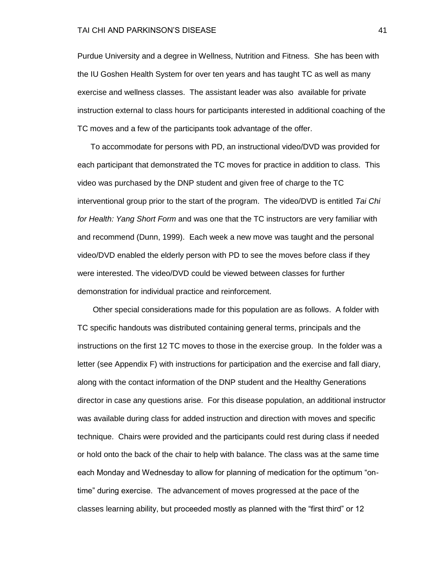#### TAI CHI AND PARKINSON'S DISEASE 41

Purdue University and a degree in Wellness, Nutrition and Fitness. She has been with the IU Goshen Health System for over ten years and has taught TC as well as many exercise and wellness classes. The assistant leader was also available for private instruction external to class hours for participants interested in additional coaching of the TC moves and a few of the participants took advantage of the offer.

 To accommodate for persons with PD, an instructional video/DVD was provided for each participant that demonstrated the TC moves for practice in addition to class. This video was purchased by the DNP student and given free of charge to the TC interventional group prior to the start of the program. The video/DVD is entitled *Tai Chi for Health: Yang Short Form* and was one that the TC instructors are very familiar with and recommend (Dunn, 1999). Each week a new move was taught and the personal video/DVD enabled the elderly person with PD to see the moves before class if they were interested. The video/DVD could be viewed between classes for further demonstration for individual practice and reinforcement.

 Other special considerations made for this population are as follows. A folder with TC specific handouts was distributed containing general terms, principals and the instructions on the first 12 TC moves to those in the exercise group. In the folder was a letter (see Appendix F) with instructions for participation and the exercise and fall diary, along with the contact information of the DNP student and the Healthy Generations director in case any questions arise. For this disease population, an additional instructor was available during class for added instruction and direction with moves and specific technique. Chairs were provided and the participants could rest during class if needed or hold onto the back of the chair to help with balance. The class was at the same time each Monday and Wednesday to allow for planning of medication for the optimum "ontime‖ during exercise. The advancement of moves progressed at the pace of the classes learning ability, but proceeded mostly as planned with the "first third" or 12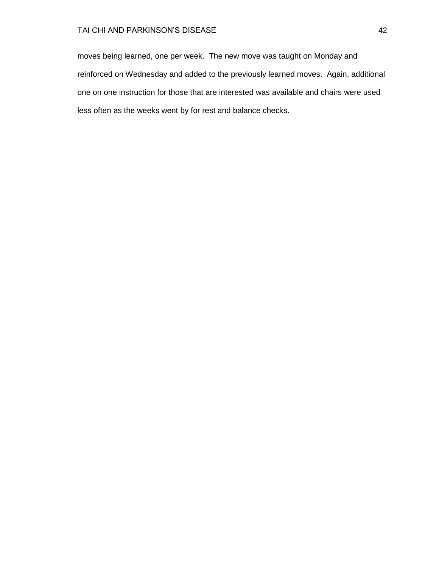## TAI CHI AND PARKINSON'S DISEASE 42

moves being learned, one per week. The new move was taught on Monday and reinforced on Wednesday and added to the previously learned moves. Again, additional one on one instruction for those that are interested was available and chairs were used less often as the weeks went by for rest and balance checks.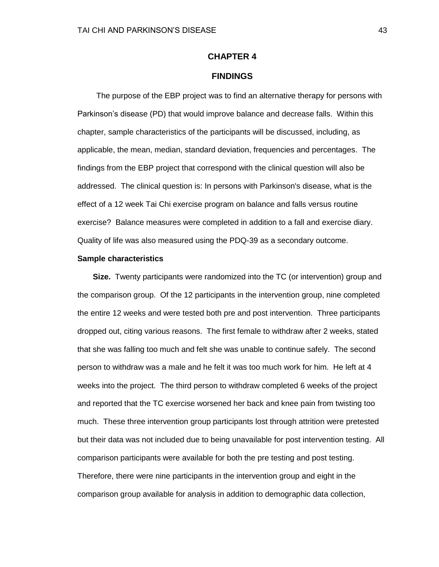## **CHAPTER 4**

## **FINDINGS**

The purpose of the EBP project was to find an alternative therapy for persons with Parkinson's disease (PD) that would improve balance and decrease falls. Within this chapter, sample characteristics of the participants will be discussed, including, as applicable, the mean, median, standard deviation, frequencies and percentages. The findings from the EBP project that correspond with the clinical question will also be addressed. The clinical question is: In persons with Parkinson's disease, what is the effect of a 12 week Tai Chi exercise program on balance and falls versus routine exercise? Balance measures were completed in addition to a fall and exercise diary. Quality of life was also measured using the PDQ-39 as a secondary outcome.

#### **Sample characteristics**

 **Size.** Twenty participants were randomized into the TC (or intervention) group and the comparison group. Of the 12 participants in the intervention group, nine completed the entire 12 weeks and were tested both pre and post intervention. Three participants dropped out, citing various reasons. The first female to withdraw after 2 weeks, stated that she was falling too much and felt she was unable to continue safely. The second person to withdraw was a male and he felt it was too much work for him. He left at 4 weeks into the project. The third person to withdraw completed 6 weeks of the project and reported that the TC exercise worsened her back and knee pain from twisting too much. These three intervention group participants lost through attrition were pretested but their data was not included due to being unavailable for post intervention testing. All comparison participants were available for both the pre testing and post testing. Therefore, there were nine participants in the intervention group and eight in the comparison group available for analysis in addition to demographic data collection,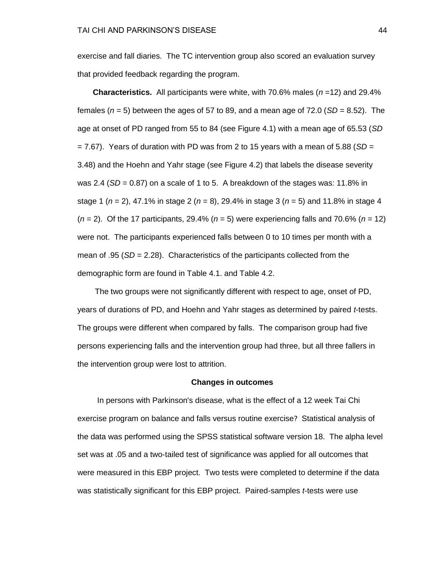exercise and fall diaries. The TC intervention group also scored an evaluation survey that provided feedback regarding the program.

 **Characteristics.** All participants were white, with 70.6% males (*n* =12) and 29.4% females  $(n = 5)$  between the ages of 57 to 89, and a mean age of 72.0 ( $SD = 8.52$ ). The age at onset of PD ranged from 55 to 84 (see Figure 4.1) with a mean age of 65.53 (*SD*  $= 7.67$ ). Years of duration with PD was from 2 to 15 years with a mean of 5.88 (*SD*  $=$ 3.48) and the Hoehn and Yahr stage (see Figure 4.2) that labels the disease severity was 2.4 ( $SD = 0.87$ ) on a scale of 1 to 5. A breakdown of the stages was: 11.8% in stage 1 (*n* = 2), 47.1% in stage 2 (*n* = 8), 29.4% in stage 3 (*n* = 5) and 11.8% in stage 4 (*n* = 2). Of the 17 participants, 29.4% (*n* = 5) were experiencing falls and 70.6% (*n* = 12) were not. The participants experienced falls between 0 to 10 times per month with a mean of .95 (*SD* = 2.28). Characteristics of the participants collected from the demographic form are found in Table 4.1. and Table 4.2.

 The two groups were not significantly different with respect to age, onset of PD, years of durations of PD, and Hoehn and Yahr stages as determined by paired *t*-tests. The groups were different when compared by falls. The comparison group had five persons experiencing falls and the intervention group had three, but all three fallers in the intervention group were lost to attrition.

#### **Changes in outcomes**

In persons with Parkinson's disease, what is the effect of a 12 week Tai Chi exercise program on balance and falls versus routine exercise? Statistical analysis of the data was performed using the SPSS statistical software version 18. The alpha level set was at .05 and a two-tailed test of significance was applied for all outcomes that were measured in this EBP project. Two tests were completed to determine if the data was statistically significant for this EBP project. Paired-samples *t*-tests were use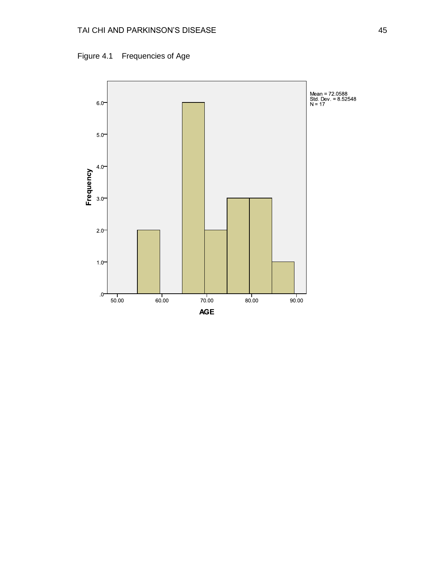

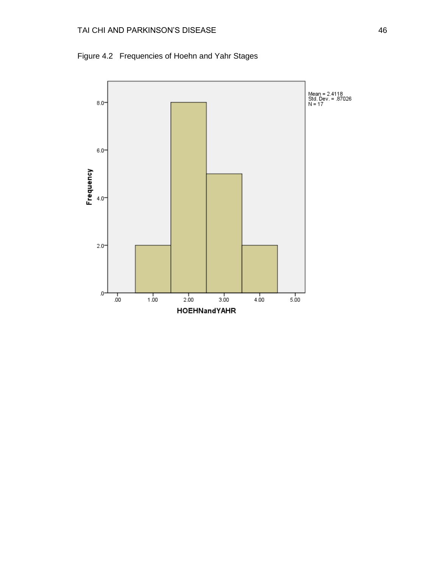

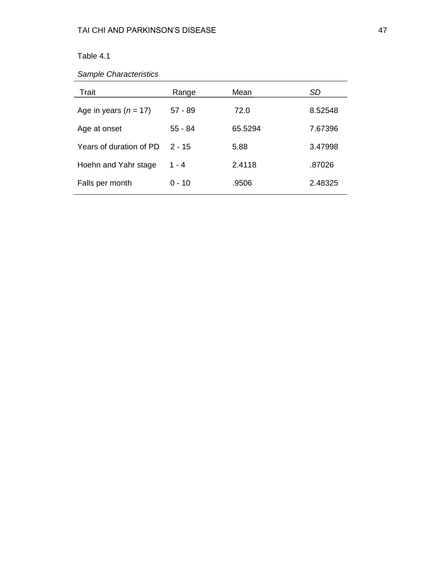*Sample Characteristics*

| Trait                     | Range     | Mean    | SD      |
|---------------------------|-----------|---------|---------|
| Age in years ( $n = 17$ ) | $57 - 89$ | 72.0    | 8.52548 |
| Age at onset              | $55 - 84$ | 65.5294 | 7.67396 |
| Years of duration of PD   | $2 - 15$  | 5.88    | 3.47998 |
| Hoehn and Yahr stage      | $1 - 4$   | 2.4118  | .87026  |
| Falls per month           | $0 - 10$  | .9506   | 2.48325 |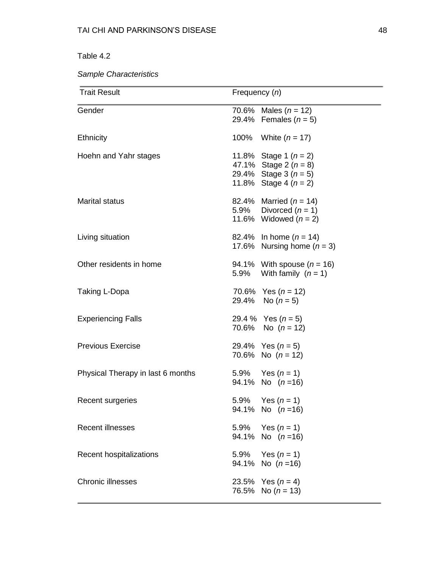*Sample Characteristics*

| <b>Trait Result</b>               | Frequency (n) |                                                                                                          |
|-----------------------------------|---------------|----------------------------------------------------------------------------------------------------------|
| Gender                            |               | 70.6% Males $(n = 12)$<br>29.4% Females $(n = 5)$                                                        |
| <b>Ethnicity</b>                  | 100%          | White $(n = 17)$                                                                                         |
| Hoehn and Yahr stages             |               | 11.8% Stage 1 $(n = 2)$<br>47.1% Stage 2 $(n = 8)$<br>29.4% Stage 3 $(n = 5)$<br>11.8% Stage 4 $(n = 2)$ |
| <b>Marital status</b>             |               | 82.4% Married $(n = 14)$<br>5.9% Divorced $(n = 1)$<br>11.6% Widowed $(n = 2)$                           |
| Living situation                  |               | 82.4% In home $(n = 14)$<br>17.6% Nursing home $(n = 3)$                                                 |
| Other residents in home           | 5.9%          | 94.1% With spouse $(n = 16)$<br>With family $(n = 1)$                                                    |
| Taking L-Dopa                     |               | 70.6% Yes $(n = 12)$<br>29.4% No $(n = 5)$                                                               |
| <b>Experiencing Falls</b>         |               | 29.4 % Yes $(n=5)$<br>70.6% No $(n = 12)$                                                                |
| <b>Previous Exercise</b>          |               | 29.4% Yes $(n = 5)$<br>70.6% No $(n = 12)$                                                               |
| Physical Therapy in last 6 months |               | 5.9% Yes $(n = 1)$<br>94.1% No $(n=16)$                                                                  |
| Recent surgeries                  | 5.9%          | Yes $(n = 1)$<br>94.1% No $(n=16)$                                                                       |
| <b>Recent illnesses</b>           |               | 5.9% Yes $(n = 1)$<br>94.1% No $(n=16)$                                                                  |
| Recent hospitalizations           |               | 5.9% Yes $(n = 1)$<br>94.1% No $(n=16)$                                                                  |
| <b>Chronic illnesses</b>          |               | 23.5% Yes $(n = 4)$<br>76.5% No $(n = 13)$                                                               |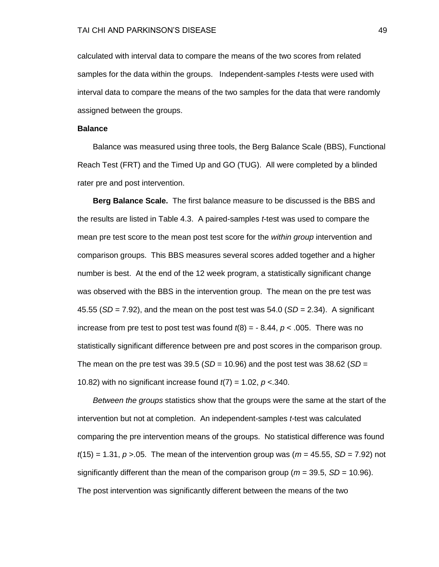calculated with interval data to compare the means of the two scores from related samples for the data within the groups. Independent-samples *t*-tests were used with interval data to compare the means of the two samples for the data that were randomly assigned between the groups.

#### **Balance**

 Balance was measured using three tools, the Berg Balance Scale (BBS), Functional Reach Test (FRT) and the Timed Up and GO (TUG). All were completed by a blinded rater pre and post intervention.

 **Berg Balance Scale.** The first balance measure to be discussed is the BBS and the results are listed in Table 4.3. A paired-samples *t*-test was used to compare the mean pre test score to the mean post test score for the *within group* intervention and comparison groups. This BBS measures several scores added together and a higher number is best. At the end of the 12 week program, a statistically significant change was observed with the BBS in the intervention group. The mean on the pre test was 45.55 (*SD* = 7.92), and the mean on the post test was 54.0 (*SD* = 2.34). A significant increase from pre test to post test was found  $t(8) = -8.44$ ,  $p < .005$ . There was no statistically significant difference between pre and post scores in the comparison group. The mean on the pre test was  $39.5$  (*SD* = 10.96) and the post test was  $38.62$  (*SD* = 10.82) with no significant increase found *t*(7) = 1.02, *p* <.340.

 *Between the groups* statistics show that the groups were the same at the start of the intervention but not at completion. An independent-samples *t*-test was calculated comparing the pre intervention means of the groups. No statistical difference was found  $t(15) = 1.31, p > 0.05$ . The mean of the intervention group was ( $m = 45.55$ ,  $SD = 7.92$ ) not significantly different than the mean of the comparison group (*m* = 39.5, *SD* = 10.96). The post intervention was significantly different between the means of the two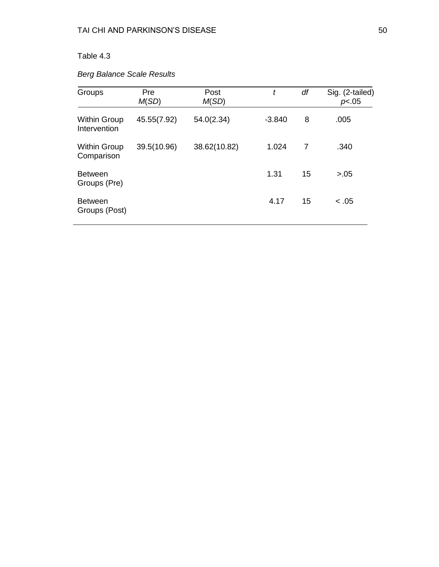# Table 4.3

# *Berg Balance Scale Results*

| Groups                              | Pre<br>M(SD) | Post<br>M(SD) | t        | df | Sig. (2-tailed)<br>p<.05 |
|-------------------------------------|--------------|---------------|----------|----|--------------------------|
| <b>Within Group</b><br>Intervention | 45.55(7.92)  | 54.0(2.34)    | $-3.840$ | 8  | .005                     |
| <b>Within Group</b><br>Comparison   | 39.5(10.96)  | 38.62(10.82)  | 1.024    | 7  | .340                     |
| <b>Between</b><br>Groups (Pre)      |              |               | 1.31     | 15 | > 0.05                   |
| <b>Between</b><br>Groups (Post)     |              |               | 4.17     | 15 | < 0.05                   |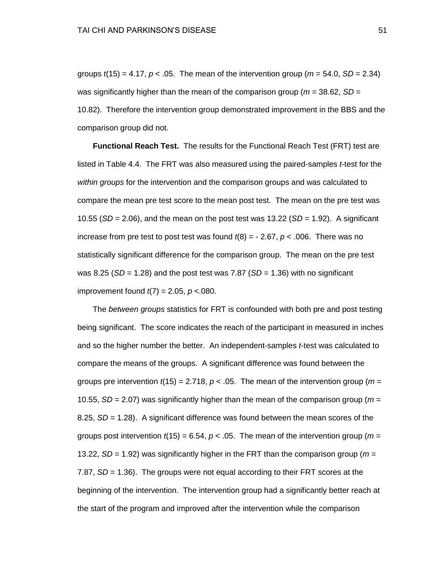groups  $t(15) = 4.17$ ,  $p < .05$ . The mean of the intervention group ( $m = 54.0$ ,  $SD = 2.34$ ) was significantly higher than the mean of the comparison group (*m* = 38.62, *SD* = 10.82). Therefore the intervention group demonstrated improvement in the BBS and the comparison group did not.

 **Functional Reach Test.** The results for the Functional Reach Test (FRT) test are listed in Table 4.4. The FRT was also measured using the paired-samples *t*-test for the *within groups* for the intervention and the comparison groups and was calculated to compare the mean pre test score to the mean post test. The mean on the pre test was 10.55 (*SD* = 2.06), and the mean on the post test was 13.22 (*SD* = 1.92). A significant increase from pre test to post test was found  $t(8) = -2.67$ ,  $p < .006$ . There was no statistically significant difference for the comparison group. The mean on the pre test was 8.25 ( $SD = 1.28$ ) and the post test was 7.87 ( $SD = 1.36$ ) with no significant improvement found *t*(7) = 2.05, *p* <.080.

 The *between groups* statistics for FRT is confounded with both pre and post testing being significant. The score indicates the reach of the participant in measured in inches and so the higher number the better. An independent-samples *t*-test was calculated to compare the means of the groups. A significant difference was found between the groups pre intervention  $t(15) = 2.718$ ,  $p < .05$ . The mean of the intervention group ( $m =$ 10.55, *SD* = 2.07) was significantly higher than the mean of the comparison group (*m* = 8.25, *SD* = 1.28). A significant difference was found between the mean scores of the groups post intervention  $t(15) = 6.54$ ,  $p < .05$ . The mean of the intervention group ( $m =$ 13.22, *SD* = 1.92) was significantly higher in the FRT than the comparison group (*m* = 7.87, *SD* = 1.36). The groups were not equal according to their FRT scores at the beginning of the intervention. The intervention group had a significantly better reach at the start of the program and improved after the intervention while the comparison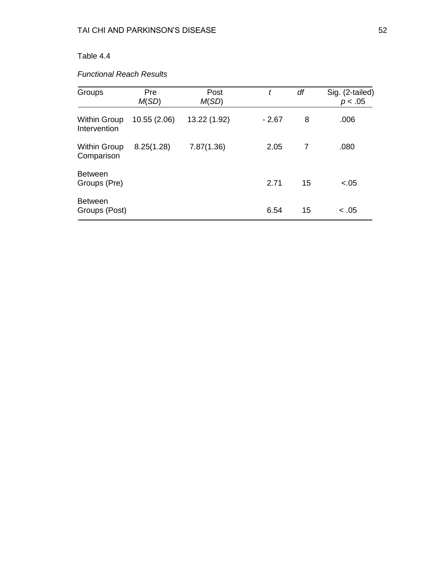# Table 4.4

# *Functional Reach Results*

| Groups                              | Pre<br>M(SD) | Post<br>M(SD) | t       | df | Sig. (2-tailed)<br>p < .05 |
|-------------------------------------|--------------|---------------|---------|----|----------------------------|
| <b>Within Group</b><br>Intervention | 10.55 (2.06) | 13.22 (1.92)  | $-2.67$ | 8  | .006                       |
| <b>Within Group</b><br>Comparison   | 8.25(1.28)   | 7.87(1.36)    | 2.05    | 7  | .080                       |
| <b>Between</b><br>Groups (Pre)      |              |               | 2.71    | 15 | $-.05$                     |
| <b>Between</b><br>Groups (Post)     |              |               | 6.54    | 15 | < .05                      |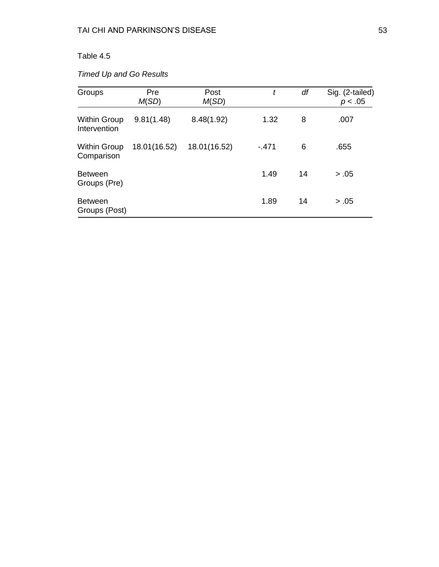# Table 4.5

# *Timed Up and Go Results*

| Groups                              | Pre<br>M(SD) | Post<br>M(SD) | t      | df | Sig. (2-tailed)<br>p < .05 |
|-------------------------------------|--------------|---------------|--------|----|----------------------------|
| <b>Within Group</b><br>Intervention | 9.81(1.48)   | 8.48(1.92)    | 1.32   | 8  | .007                       |
| <b>Within Group</b><br>Comparison   | 18.01(16.52) | 18.01(16.52)  | $-471$ | 6  | .655                       |
| <b>Between</b><br>Groups (Pre)      |              |               | 1.49   | 14 | > .05                      |
| <b>Between</b><br>Groups (Post)     |              |               | 1.89   | 14 | > .05                      |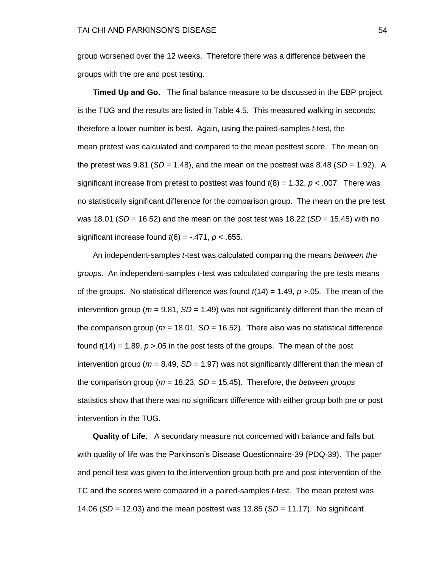group worsened over the 12 weeks. Therefore there was a difference between the groups with the pre and post testing.

 **Timed Up and Go.** The final balance measure to be discussed in the EBP project is the TUG and the results are listed in Table 4.5. This measured walking in seconds; therefore a lower number is best. Again, using the paired-samples *t*-test, the mean pretest was calculated and compared to the mean posttest score. The mean on the pretest was  $9.81$  (*SD* = 1.48), and the mean on the posttest was  $8.48$  (*SD* = 1.92). A significant increase from pretest to posttest was found *t*(8) = 1.32, *p* < .007. There was no statistically significant difference for the comparison group. The mean on the pre test was 18.01 (*SD* = 16.52) and the mean on the post test was 18.22 (*SD* = 15.45) with no significant increase found *t*(6) = -.471, *p* < .655.

 An independent-samples *t*-test was calculated comparing the means *between the groups.* An independent-samples *t*-test was calculated comparing the pre tests means of the groups. No statistical difference was found  $t(14) = 1.49$ ,  $p > 0.05$ . The mean of the intervention group (*m* = 9.81, *SD* = 1.49) was not significantly different than the mean of the comparison group ( $m = 18.01$ ,  $SD = 16.52$ ). There also was no statistical difference found  $t(14) = 1.89$ ,  $p > 05$  in the post tests of the groups. The mean of the post intervention group (*m* = 8.49, *SD* = 1.97) was not significantly different than the mean of the comparison group (*m* = 18.23, *SD* = 15.45). Therefore, the *between groups* statistics show that there was no significant difference with either group both pre or post intervention in the TUG.

 **Quality of Life.** A secondary measure not concerned with balance and falls but with quality of life was the Parkinson's Disease Questionnaire-39 (PDQ-39). The paper and pencil test was given to the intervention group both pre and post intervention of the TC and the scores were compared in a paired-samples *t*-test. The mean pretest was 14.06 (*SD* = 12.03) and the mean posttest was 13.85 (*SD* = 11.17). No significant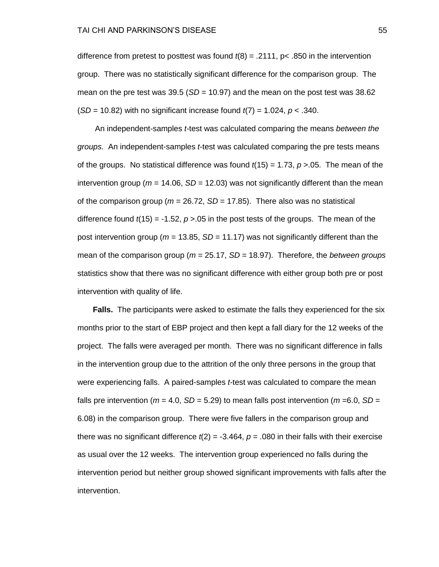difference from pretest to posttest was found *t*(8) = .2111, p< .850 in the intervention group. There was no statistically significant difference for the comparison group. The mean on the pre test was 39.5 (*SD* = 10.97) and the mean on the post test was 38.62 (*SD* = 10.82) with no significant increase found *t*(7) = 1.024, *p* < .340.

An independent-samples *t*-test was calculated comparing the means *between the groups.* An independent-samples *t*-test was calculated comparing the pre tests means of the groups. No statistical difference was found  $t(15) = 1.73$ ,  $p > 0.05$ . The mean of the intervention group ( $m = 14.06$ ,  $SD = 12.03$ ) was not significantly different than the mean of the comparison group ( $m = 26.72$ ,  $SD = 17.85$ ). There also was no statistical difference found *t*(15) = -1.52, *p* >.05 in the post tests of the groups. The mean of the post intervention group ( $m = 13.85$ ,  $SD = 11.17$ ) was not significantly different than the mean of the comparison group (*m* = 25.17, *SD* = 18.97). Therefore, the *between groups* statistics show that there was no significant difference with either group both pre or post intervention with quality of life.

 **Falls.** The participants were asked to estimate the falls they experienced for the six months prior to the start of EBP project and then kept a fall diary for the 12 weeks of the project. The falls were averaged per month. There was no significant difference in falls in the intervention group due to the attrition of the only three persons in the group that were experiencing falls. A paired-samples *t*-test was calculated to compare the mean falls pre intervention ( $m = 4.0$ ,  $SD = 5.29$ ) to mean falls post intervention ( $m = 6.0$ ,  $SD =$ 6.08) in the comparison group. There were five fallers in the comparison group and there was no significant difference  $t(2) = -3.464$ ,  $p = .080$  in their falls with their exercise as usual over the 12 weeks. The intervention group experienced no falls during the intervention period but neither group showed significant improvements with falls after the intervention.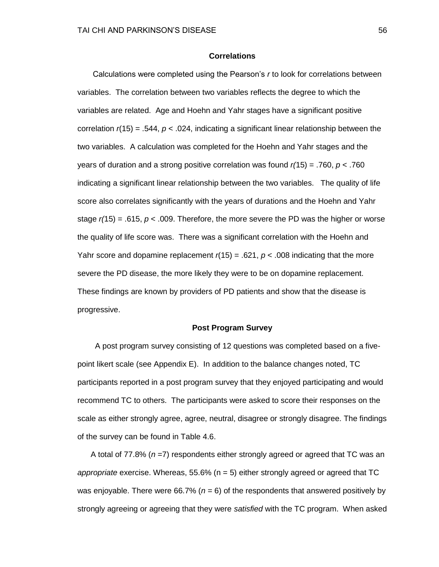### **Correlations**

 Calculations were completed using the Pearson's *r* to look for correlations between variables. The correlation between two variables reflects the degree to which the variables are related. Age and Hoehn and Yahr stages have a significant positive correlation  $r(15) = .544$ ,  $p < .024$ , indicating a significant linear relationship between the two variables. A calculation was completed for the Hoehn and Yahr stages and the years of duration and a strong positive correlation was found *r(*15) = .760, *p* < .760 indicating a significant linear relationship between the two variables. The quality of life score also correlates significantly with the years of durations and the Hoehn and Yahr stage *r(*15) = .615, *p* < .009. Therefore, the more severe the PD was the higher or worse the quality of life score was. There was a significant correlation with the Hoehn and Yahr score and dopamine replacement  $r(15) = .621$ ,  $p < .008$  indicating that the more severe the PD disease, the more likely they were to be on dopamine replacement. These findings are known by providers of PD patients and show that the disease is progressive.

### **Post Program Survey**

 A post program survey consisting of 12 questions was completed based on a fivepoint likert scale (see Appendix E). In addition to the balance changes noted, TC participants reported in a post program survey that they enjoyed participating and would recommend TC to others. The participants were asked to score their responses on the scale as either strongly agree, agree, neutral, disagree or strongly disagree. The findings of the survey can be found in Table 4.6.

 A total of 77.8% (*n* =7) respondents either strongly agreed or agreed that TC was an *appropriate* exercise. Whereas, 55.6% (n = 5) either strongly agreed or agreed that TC was enjoyable. There were 66.7% ( $n = 6$ ) of the respondents that answered positively by strongly agreeing or agreeing that they were *satisfied* with the TC program. When asked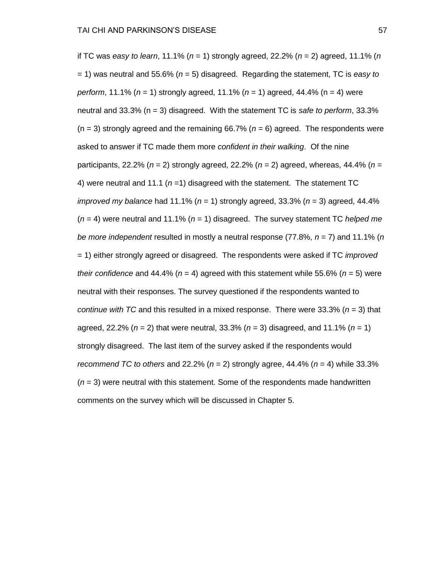if TC was *easy to learn*, 11.1% (*n* = 1) strongly agreed, 22.2% (*n* = 2) agreed, 11.1% (*n* = 1) was neutral and 55.6% (*n* = 5) disagreed. Regarding the statement, TC is *easy to perform*, 11.1% (*n* = 1) strongly agreed, 11.1% (*n* = 1) agreed, 44.4% (n = 4) were neutral and 33.3% (n = 3) disagreed. With the statement TC is *safe to perform*, 33.3%  $(n = 3)$  strongly agreed and the remaining 66.7% ( $n = 6$ ) agreed. The respondents were asked to answer if TC made them more *confident in their walking*. Of the nine participants, 22.2% (*n* = 2) strongly agreed, 22.2% (*n* = 2) agreed, whereas, 44.4% (*n* = 4) were neutral and 11.1 ( $n = 1$ ) disagreed with the statement. The statement TC *improved my balance* had 11.1% (*n* = 1) strongly agreed, 33.3% (*n* = 3) agreed, 44.4% (*n* = 4) were neutral and 11.1% (*n* = 1) disagreed. The survey statement TC *helped me be more independent* resulted in mostly a neutral response (77.8%, *n* = 7) and 11.1% (*n* = 1) either strongly agreed or disagreed. The respondents were asked if TC *improved their confidence* and 44.4% ( $n = 4$ ) agreed with this statement while 55.6% ( $n = 5$ ) were neutral with their responses. The survey questioned if the respondents wanted to *continue with TC* and this resulted in a mixed response. There were 33.3% (*n* = 3) that agreed, 22.2% (*n* = 2) that were neutral, 33.3% (*n* = 3) disagreed, and 11.1% (*n* = 1) strongly disagreed. The last item of the survey asked if the respondents would *recommend TC to others* and 22.2% ( $n = 2$ ) strongly agree, 44.4% ( $n = 4$ ) while 33.3%  $(n = 3)$  were neutral with this statement. Some of the respondents made handwritten comments on the survey which will be discussed in Chapter 5.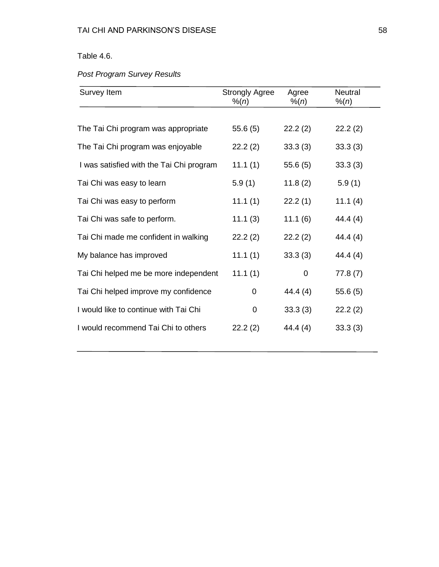# Table 4.6.

# *Post Program Survey Results*

| Survey Item                              | <b>Strongly Agree</b><br>% (n) | Agree<br>% (n) | <b>Neutral</b><br>% (n) |
|------------------------------------------|--------------------------------|----------------|-------------------------|
|                                          |                                |                |                         |
| The Tai Chi program was appropriate      | 55.6(5)                        | 22.2(2)        | 22.2(2)                 |
| The Tai Chi program was enjoyable        | 22.2(2)                        | 33.3(3)        | 33.3(3)                 |
| I was satisfied with the Tai Chi program | 11.1(1)                        | 55.6(5)        | 33.3(3)                 |
| Tai Chi was easy to learn                | 5.9(1)                         | 11.8(2)        | 5.9(1)                  |
| Tai Chi was easy to perform              | 11.1(1)                        | 22.2(1)        | 11.1(4)                 |
| Tai Chi was safe to perform.             | 11.1(3)                        | 11.1(6)        | 44.4 (4)                |
| Tai Chi made me confident in walking     | 22.2(2)                        | 22.2(2)        | 44.4(4)                 |
| My balance has improved                  | 11.1(1)                        | 33.3(3)        | 44.4 (4)                |
| Tai Chi helped me be more independent    | 11.1(1)                        | 0              | 77.8(7)                 |
| Tai Chi helped improve my confidence     | 0                              | 44.4 (4)       | 55.6(5)                 |
| I would like to continue with Tai Chi    | 0                              | 33.3(3)        | 22.2(2)                 |
| I would recommend Tai Chi to others      | 22.2(2)                        | 44.4 (4)       | 33.3(3)                 |
|                                          |                                |                |                         |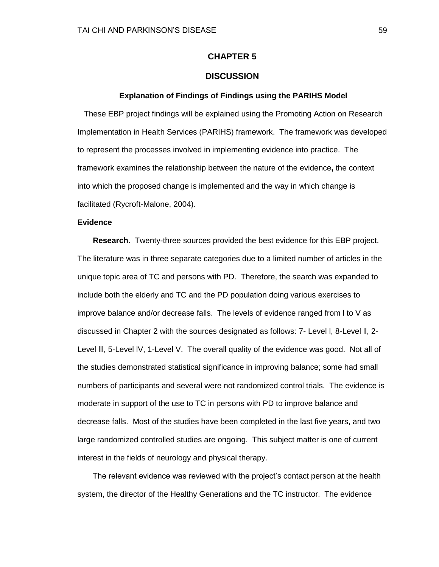## **CHAPTER 5**

## **DISCUSSION**

#### **Explanation of Findings of Findings using the PARIHS Model**

These EBP project findings will be explained using the Promoting Action on Research Implementation in Health Services (PARIHS) framework. The framework was developed to represent the processes involved in implementing evidence into practice. The framework examines the relationship between the nature of the evidence**,** the context into which the proposed change is implemented and the way in which change is facilitated (Rycroft-Malone, 2004).

### **Evidence**

 **Research**. Twenty-three sources provided the best evidence for this EBP project. The literature was in three separate categories due to a limited number of articles in the unique topic area of TC and persons with PD. Therefore, the search was expanded to include both the elderly and TC and the PD population doing various exercises to improve balance and/or decrease falls. The levels of evidence ranged from l to V as discussed in Chapter 2 with the sources designated as follows: 7- Level l, 8-Level ll, 2- Level lll, 5-Level lV, 1-Level V. The overall quality of the evidence was good. Not all of the studies demonstrated statistical significance in improving balance; some had small numbers of participants and several were not randomized control trials. The evidence is moderate in support of the use to TC in persons with PD to improve balance and decrease falls. Most of the studies have been completed in the last five years, and two large randomized controlled studies are ongoing. This subject matter is one of current interest in the fields of neurology and physical therapy.

 The relevant evidence was reviewed with the project's contact person at the health system, the director of the Healthy Generations and the TC instructor. The evidence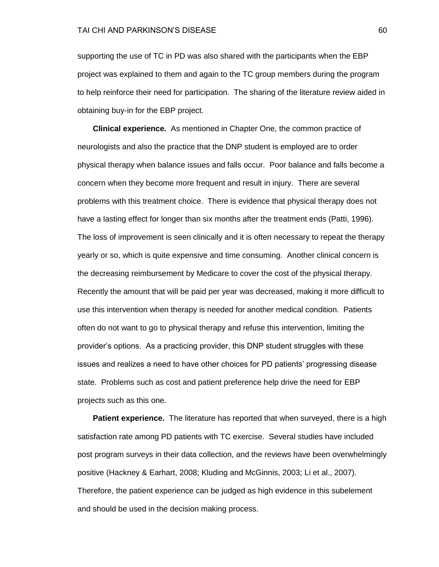supporting the use of TC in PD was also shared with the participants when the EBP project was explained to them and again to the TC group members during the program to help reinforce their need for participation. The sharing of the literature review aided in obtaining buy-in for the EBP project.

 **Clinical experience.** As mentioned in Chapter One, the common practice of neurologists and also the practice that the DNP student is employed are to order physical therapy when balance issues and falls occur. Poor balance and falls become a concern when they become more frequent and result in injury. There are several problems with this treatment choice. There is evidence that physical therapy does not have a lasting effect for longer than six months after the treatment ends (Patti, 1996). The loss of improvement is seen clinically and it is often necessary to repeat the therapy yearly or so, which is quite expensive and time consuming. Another clinical concern is the decreasing reimbursement by Medicare to cover the cost of the physical therapy. Recently the amount that will be paid per year was decreased, making it more difficult to use this intervention when therapy is needed for another medical condition. Patients often do not want to go to physical therapy and refuse this intervention, limiting the provider's options. As a practicing provider, this DNP student struggles with these issues and realizes a need to have other choices for PD patients' progressing disease state. Problems such as cost and patient preference help drive the need for EBP projects such as this one.

**Patient experience.** The literature has reported that when surveyed, there is a high satisfaction rate among PD patients with TC exercise. Several studies have included post program surveys in their data collection, and the reviews have been overwhelmingly positive (Hackney & Earhart, 2008; Kluding and McGinnis, 2003; Li et al., 2007). Therefore, the patient experience can be judged as high evidence in this subelement and should be used in the decision making process.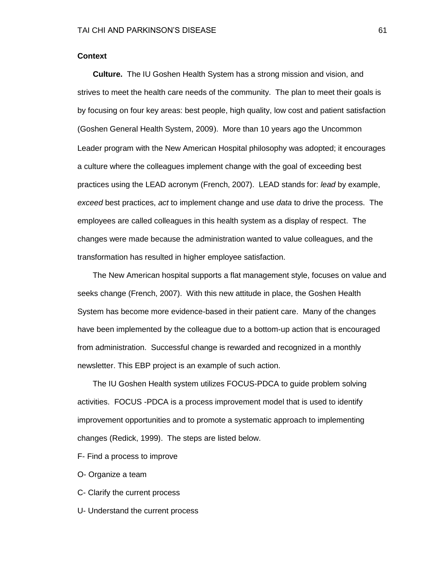### **Context**

 **Culture.** The IU Goshen Health System has a strong mission and vision, and strives to meet the health care needs of the community. The plan to meet their goals is by focusing on four key areas: best people, high quality, low cost and patient satisfaction (Goshen General Health System, 2009). More than 10 years ago the Uncommon Leader program with the New American Hospital philosophy was adopted; it encourages a culture where the colleagues implement change with the goal of exceeding best practices using the LEAD acronym (French, 2007). LEAD stands for: *lead* by example, *exceed* best practices, *act* to implement change and use *data* to drive the process. The employees are called colleagues in this health system as a display of respect. The changes were made because the administration wanted to value colleagues, and the transformation has resulted in higher employee satisfaction.

 The New American hospital supports a flat management style, focuses on value and seeks change (French, 2007). With this new attitude in place, the Goshen Health System has become more evidence-based in their patient care. Many of the changes have been implemented by the colleague due to a bottom-up action that is encouraged from administration. Successful change is rewarded and recognized in a monthly newsletter. This EBP project is an example of such action.

 The IU Goshen Health system utilizes FOCUS-PDCA to guide problem solving activities. FOCUS -PDCA is a process improvement model that is used to identify improvement opportunities and to promote a systematic approach to implementing changes (Redick, 1999). The steps are listed below.

- F- Find a process to improve
- O- Organize a team
- C- Clarify the current process
- U- Understand the current process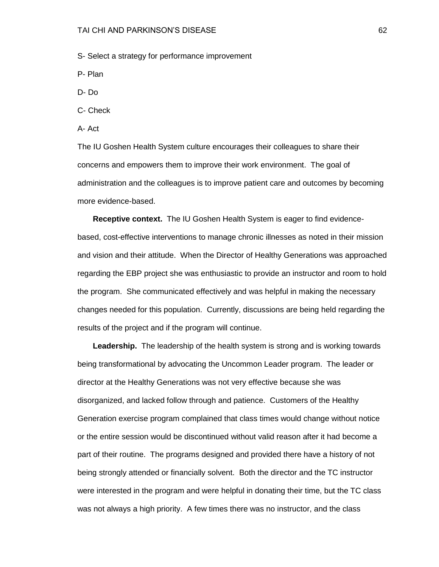S- Select a strategy for performance improvement

- P- Plan
- D- Do
- C- Check
- A- Act

The IU Goshen Health System culture encourages their colleagues to share their concerns and empowers them to improve their work environment. The goal of administration and the colleagues is to improve patient care and outcomes by becoming more evidence-based.

 **Receptive context.** The IU Goshen Health System is eager to find evidencebased, cost-effective interventions to manage chronic illnesses as noted in their mission and vision and their attitude. When the Director of Healthy Generations was approached regarding the EBP project she was enthusiastic to provide an instructor and room to hold the program. She communicated effectively and was helpful in making the necessary changes needed for this population. Currently, discussions are being held regarding the results of the project and if the program will continue.

 **Leadership.** The leadership of the health system is strong and is working towards being transformational by advocating the Uncommon Leader program. The leader or director at the Healthy Generations was not very effective because she was disorganized, and lacked follow through and patience. Customers of the Healthy Generation exercise program complained that class times would change without notice or the entire session would be discontinued without valid reason after it had become a part of their routine. The programs designed and provided there have a history of not being strongly attended or financially solvent. Both the director and the TC instructor were interested in the program and were helpful in donating their time, but the TC class was not always a high priority. A few times there was no instructor, and the class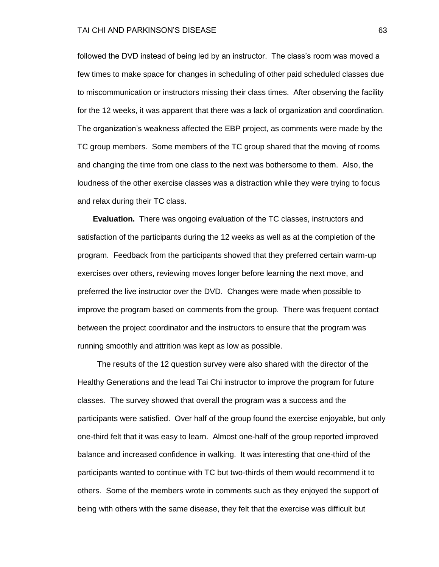#### TAI CHI AND PARKINSON'S DISEASE 63

followed the DVD instead of being led by an instructor. The class's room was moved a few times to make space for changes in scheduling of other paid scheduled classes due to miscommunication or instructors missing their class times. After observing the facility for the 12 weeks, it was apparent that there was a lack of organization and coordination. The organization's weakness affected the EBP project, as comments were made by the TC group members. Some members of the TC group shared that the moving of rooms and changing the time from one class to the next was bothersome to them. Also, the loudness of the other exercise classes was a distraction while they were trying to focus and relax during their TC class.

 **Evaluation.** There was ongoing evaluation of the TC classes, instructors and satisfaction of the participants during the 12 weeks as well as at the completion of the program. Feedback from the participants showed that they preferred certain warm-up exercises over others, reviewing moves longer before learning the next move, and preferred the live instructor over the DVD. Changes were made when possible to improve the program based on comments from the group. There was frequent contact between the project coordinator and the instructors to ensure that the program was running smoothly and attrition was kept as low as possible.

 The results of the 12 question survey were also shared with the director of the Healthy Generations and the lead Tai Chi instructor to improve the program for future classes. The survey showed that overall the program was a success and the participants were satisfied. Over half of the group found the exercise enjoyable, but only one-third felt that it was easy to learn. Almost one-half of the group reported improved balance and increased confidence in walking. It was interesting that one-third of the participants wanted to continue with TC but two-thirds of them would recommend it to others. Some of the members wrote in comments such as they enjoyed the support of being with others with the same disease, they felt that the exercise was difficult but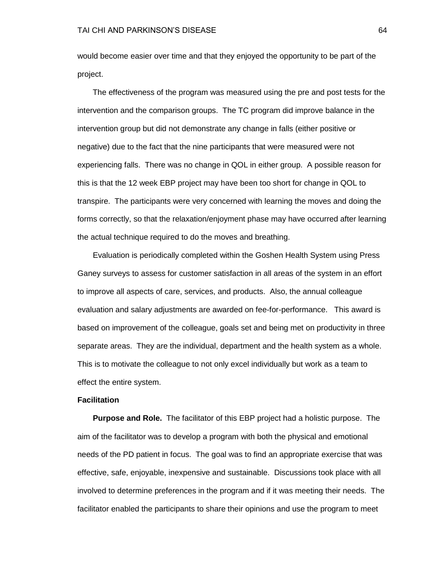would become easier over time and that they enjoyed the opportunity to be part of the project.

 The effectiveness of the program was measured using the pre and post tests for the intervention and the comparison groups. The TC program did improve balance in the intervention group but did not demonstrate any change in falls (either positive or negative) due to the fact that the nine participants that were measured were not experiencing falls. There was no change in QOL in either group. A possible reason for this is that the 12 week EBP project may have been too short for change in QOL to transpire. The participants were very concerned with learning the moves and doing the forms correctly, so that the relaxation/enjoyment phase may have occurred after learning the actual technique required to do the moves and breathing.

 Evaluation is periodically completed within the Goshen Health System using Press Ganey surveys to assess for customer satisfaction in all areas of the system in an effort to improve all aspects of care, services, and products. Also, the annual colleague evaluation and salary adjustments are awarded on fee-for-performance. This award is based on improvement of the colleague, goals set and being met on productivity in three separate areas. They are the individual, department and the health system as a whole. This is to motivate the colleague to not only excel individually but work as a team to effect the entire system.

#### **Facilitation**

 **Purpose and Role.** The facilitator of this EBP project had a holistic purpose. The aim of the facilitator was to develop a program with both the physical and emotional needs of the PD patient in focus. The goal was to find an appropriate exercise that was effective, safe, enjoyable, inexpensive and sustainable. Discussions took place with all involved to determine preferences in the program and if it was meeting their needs. The facilitator enabled the participants to share their opinions and use the program to meet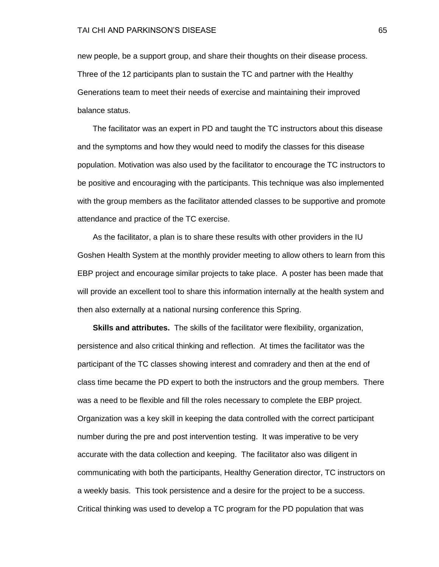new people, be a support group, and share their thoughts on their disease process. Three of the 12 participants plan to sustain the TC and partner with the Healthy Generations team to meet their needs of exercise and maintaining their improved balance status.

 The facilitator was an expert in PD and taught the TC instructors about this disease and the symptoms and how they would need to modify the classes for this disease population. Motivation was also used by the facilitator to encourage the TC instructors to be positive and encouraging with the participants. This technique was also implemented with the group members as the facilitator attended classes to be supportive and promote attendance and practice of the TC exercise.

 As the facilitator, a plan is to share these results with other providers in the IU Goshen Health System at the monthly provider meeting to allow others to learn from this EBP project and encourage similar projects to take place. A poster has been made that will provide an excellent tool to share this information internally at the health system and then also externally at a national nursing conference this Spring.

 **Skills and attributes.** The skills of the facilitator were flexibility, organization, persistence and also critical thinking and reflection. At times the facilitator was the participant of the TC classes showing interest and comradery and then at the end of class time became the PD expert to both the instructors and the group members. There was a need to be flexible and fill the roles necessary to complete the EBP project. Organization was a key skill in keeping the data controlled with the correct participant number during the pre and post intervention testing. It was imperative to be very accurate with the data collection and keeping. The facilitator also was diligent in communicating with both the participants, Healthy Generation director, TC instructors on a weekly basis. This took persistence and a desire for the project to be a success. Critical thinking was used to develop a TC program for the PD population that was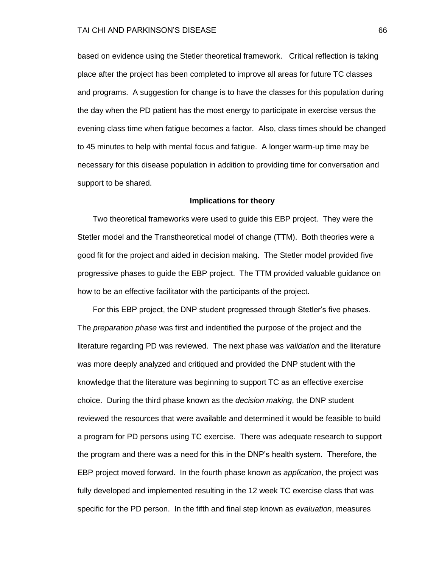based on evidence using the Stetler theoretical framework. Critical reflection is taking place after the project has been completed to improve all areas for future TC classes and programs. A suggestion for change is to have the classes for this population during the day when the PD patient has the most energy to participate in exercise versus the evening class time when fatigue becomes a factor. Also, class times should be changed to 45 minutes to help with mental focus and fatigue. A longer warm-up time may be necessary for this disease population in addition to providing time for conversation and support to be shared.

### **Implications for theory**

 Two theoretical frameworks were used to guide this EBP project. They were the Stetler model and the Transtheoretical model of change (TTM). Both theories were a good fit for the project and aided in decision making. The Stetler model provided five progressive phases to guide the EBP project. The TTM provided valuable guidance on how to be an effective facilitator with the participants of the project.

 For this EBP project, the DNP student progressed through Stetler's five phases. The *preparation phase* was first and indentified the purpose of the project and the literature regarding PD was reviewed. The next phase was *validation* and the literature was more deeply analyzed and critiqued and provided the DNP student with the knowledge that the literature was beginning to support TC as an effective exercise choice. During the third phase known as the *decision making*, the DNP student reviewed the resources that were available and determined it would be feasible to build a program for PD persons using TC exercise. There was adequate research to support the program and there was a need for this in the DNP's health system. Therefore, the EBP project moved forward. In the fourth phase known as *application*, the project was fully developed and implemented resulting in the 12 week TC exercise class that was specific for the PD person. In the fifth and final step known as *evaluation*, measures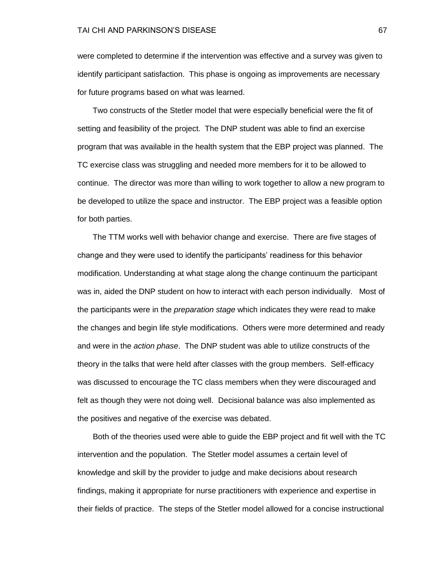were completed to determine if the intervention was effective and a survey was given to identify participant satisfaction. This phase is ongoing as improvements are necessary for future programs based on what was learned.

 Two constructs of the Stetler model that were especially beneficial were the fit of setting and feasibility of the project. The DNP student was able to find an exercise program that was available in the health system that the EBP project was planned. The TC exercise class was struggling and needed more members for it to be allowed to continue. The director was more than willing to work together to allow a new program to be developed to utilize the space and instructor. The EBP project was a feasible option for both parties.

 The TTM works well with behavior change and exercise. There are five stages of change and they were used to identify the participants' readiness for this behavior modification. Understanding at what stage along the change continuum the participant was in, aided the DNP student on how to interact with each person individually. Most of the participants were in the *preparation stage* which indicates they were read to make the changes and begin life style modifications. Others were more determined and ready and were in the *action phase*. The DNP student was able to utilize constructs of the theory in the talks that were held after classes with the group members. Self-efficacy was discussed to encourage the TC class members when they were discouraged and felt as though they were not doing well. Decisional balance was also implemented as the positives and negative of the exercise was debated.

 Both of the theories used were able to guide the EBP project and fit well with the TC intervention and the population. The Stetler model assumes a certain level of knowledge and skill by the provider to judge and make decisions about research findings, making it appropriate for nurse practitioners with experience and expertise in their fields of practice. The steps of the Stetler model allowed for a concise instructional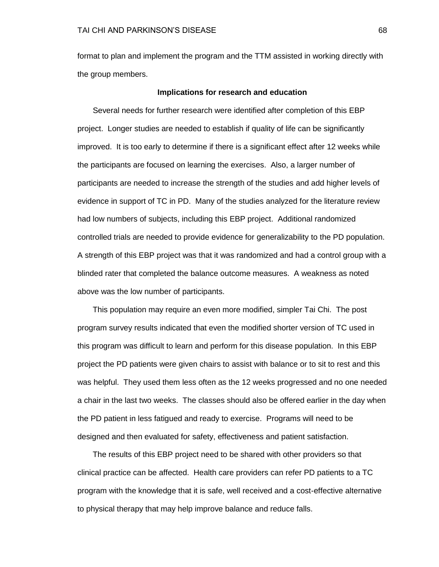format to plan and implement the program and the TTM assisted in working directly with the group members.

#### **Implications for research and education**

 Several needs for further research were identified after completion of this EBP project. Longer studies are needed to establish if quality of life can be significantly improved. It is too early to determine if there is a significant effect after 12 weeks while the participants are focused on learning the exercises. Also, a larger number of participants are needed to increase the strength of the studies and add higher levels of evidence in support of TC in PD.Many of the studies analyzed for the literature review had low numbers of subjects, including this EBP project. Additional randomized controlled trials are needed to provide evidence for generalizability to the PD population. A strength of this EBP project was that it was randomized and had a control group with a blinded rater that completed the balance outcome measures. A weakness as noted above was the low number of participants.

 This population may require an even more modified, simpler Tai Chi. The post program survey results indicated that even the modified shorter version of TC used in this program was difficult to learn and perform for this disease population. In this EBP project the PD patients were given chairs to assist with balance or to sit to rest and this was helpful. They used them less often as the 12 weeks progressed and no one needed a chair in the last two weeks. The classes should also be offered earlier in the day when the PD patient in less fatigued and ready to exercise. Programs will need to be designed and then evaluated for safety, effectiveness and patient satisfaction.

 The results of this EBP project need to be shared with other providers so that clinical practice can be affected. Health care providers can refer PD patients to a TC program with the knowledge that it is safe, well received and a cost-effective alternative to physical therapy that may help improve balance and reduce falls.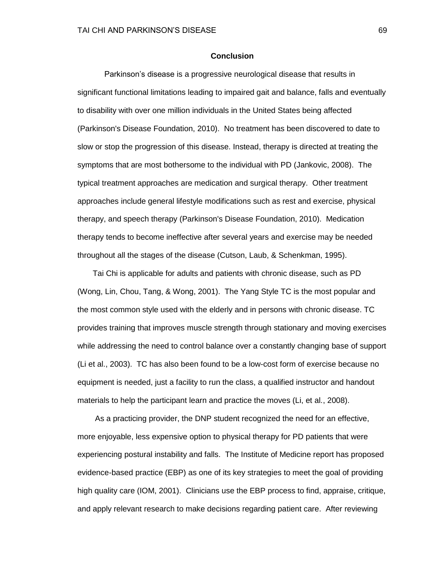#### **Conclusion**

 Parkinson's disease is a progressive neurological disease that results in significant functional limitations leading to impaired gait and balance, falls and eventually to disability with over one million individuals in the United States being affected (Parkinson's Disease Foundation, 2010). No treatment has been discovered to date to slow or stop the progression of this disease. Instead, therapy is directed at treating the symptoms that are most bothersome to the individual with PD (Jankovic, 2008). The typical treatment approaches are medication and surgical therapy. Other treatment approaches include general lifestyle modifications such as rest and exercise, physical therapy, and speech therapy (Parkinson's Disease Foundation, 2010). Medication therapy tends to become ineffective after several years and exercise may be needed throughout all the stages of the disease (Cutson, Laub, & Schenkman, 1995).

 Tai Chi is applicable for adults and patients with chronic disease, such as PD (Wong, Lin, Chou, Tang, & Wong, 2001). The Yang Style TC is the most popular and the most common style used with the elderly and in persons with chronic disease. TC provides training that improves muscle strength through stationary and moving exercises while addressing the need to control balance over a constantly changing base of support (Li et al., 2003). TC has also been found to be a low-cost form of exercise because no equipment is needed, just a facility to run the class, a qualified instructor and handout materials to help the participant learn and practice the moves (Li, et al., 2008).

 As a practicing provider, the DNP student recognized the need for an effective, more enjoyable, less expensive option to physical therapy for PD patients that were experiencing postural instability and falls. The Institute of Medicine report has proposed evidence-based practice (EBP) as one of its key strategies to meet the goal of providing high quality care (IOM, 2001). Clinicians use the EBP process to find, appraise, critique, and apply relevant research to make decisions regarding patient care. After reviewing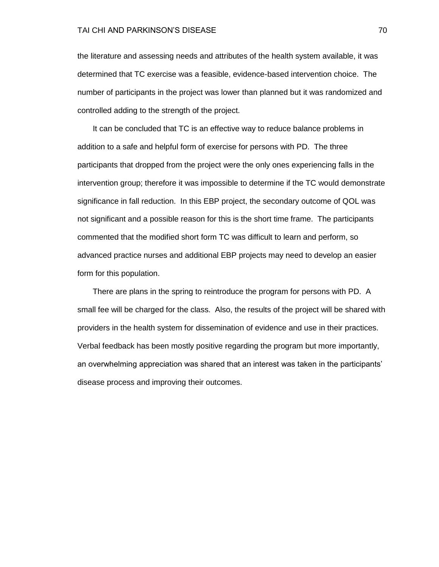#### TAI CHI AND PARKINSON'S DISEASE 70

the literature and assessing needs and attributes of the health system available, it was determined that TC exercise was a feasible, evidence-based intervention choice. The number of participants in the project was lower than planned but it was randomized and controlled adding to the strength of the project.

 It can be concluded that TC is an effective way to reduce balance problems in addition to a safe and helpful form of exercise for persons with PD. The three participants that dropped from the project were the only ones experiencing falls in the intervention group; therefore it was impossible to determine if the TC would demonstrate significance in fall reduction. In this EBP project, the secondary outcome of QOL was not significant and a possible reason for this is the short time frame. The participants commented that the modified short form TC was difficult to learn and perform, so advanced practice nurses and additional EBP projects may need to develop an easier form for this population.

 There are plans in the spring to reintroduce the program for persons with PD. A small fee will be charged for the class. Also, the results of the project will be shared with providers in the health system for dissemination of evidence and use in their practices. Verbal feedback has been mostly positive regarding the program but more importantly, an overwhelming appreciation was shared that an interest was taken in the participants' disease process and improving their outcomes.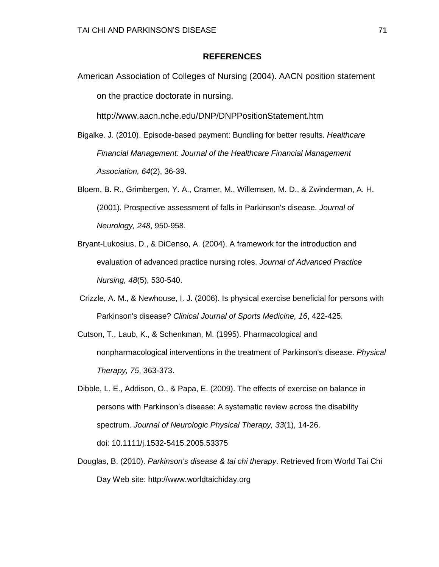### **REFERENCES**

American Association of Colleges of Nursing (2004). AACN position statement on the practice doctorate in nursing.

http://www.aacn.nche.edu/DNP/DNPPositionStatement.htm

- Bigalke. J. (2010). Episode-based payment: Bundling for better results. *Healthcare Financial Management: Journal of the Healthcare Financial Management Association, 64*(2), 36-39.
- Bloem, B. R., Grimbergen, Y. A., Cramer, M., Willemsen, M. D., & Zwinderman, A. H. (2001). Prospective assessment of falls in Parkinson's disease. *Journal of Neurology, 248*, 950-958.
- Bryant-Lukosius, D., & DiCenso, A. (2004). A framework for the introduction and evaluation of advanced practice nursing roles. *Journal of Advanced Practice Nursing, 48*(5), 530-540.
- Crizzle, A. M., & Newhouse, I. J. (2006). Is physical exercise beneficial for persons with Parkinson's disease? *Clinical Journal of Sports Medicine, 16*, 422-425.
- Cutson, T., Laub, K., & Schenkman, M. (1995). Pharmacological and nonpharmacological interventions in the treatment of Parkinson's disease. *Physical Therapy, 75*, 363-373.
- Dibble, L. E., Addison, O., & Papa, E. (2009). The effects of exercise on balance in persons with Parkinson's disease: A systematic review across the disability spectrum. *Journal of Neurologic Physical Therapy, 33*(1), 14-26. doi: 10.1111/j.1532-5415.2005.53375
- Douglas, B. (2010). *Parkinson's disease & tai chi therapy*. Retrieved from World Tai Chi Day Web site: http://www.worldtaichiday.org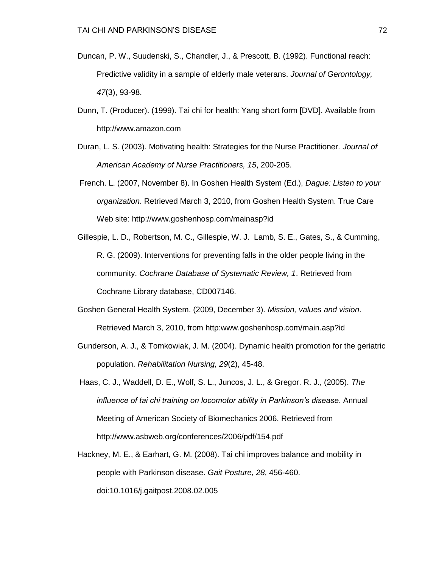- Duncan, P. W., Suudenski, S., Chandler, J., & Prescott, B. (1992). Functional reach: Predictive validity in a sample of elderly male veterans. *Journal of Gerontology, 47*(3), 93-98.
- Dunn, T. (Producer). (1999). Tai chi for health: Yang short form [DVD]. Available from http://www.amazon.com
- Duran, L. S. (2003). Motivating health: Strategies for the Nurse Practitioner. *Journal of American Academy of Nurse Practitioners, 15*, 200-205.
- French. L. (2007, November 8). In Goshen Health System (Ed.), *Dague: Listen to your organization*. Retrieved March 3, 2010, from Goshen Health System. True Care Web site: http://www.goshenhosp.com/mainasp?id
- Gillespie, L. D., Robertson, M. C., Gillespie, W. J. Lamb, S. E., Gates, S., & Cumming, R. G. (2009). Interventions for preventing falls in the older people living in the community. *Cochrane Database of Systematic Review, 1*. Retrieved from Cochrane Library database, CD007146.
- Goshen General Health System. (2009, December 3). *Mission, values and vision*. Retrieved March 3, 2010, from http:www.goshenhosp.com/main.asp?id
- Gunderson, A. J., & Tomkowiak, J. M. (2004). Dynamic health promotion for the geriatric population. *Rehabilitation Nursing, 29*(2), 45-48.
- Haas, C. J., Waddell, D. E., Wolf, S. L., Juncos, J. L., & Gregor. R. J., (2005). *The influence of tai chi training on locomotor ability in Parkinson's disease*. Annual Meeting of American Society of Biomechanics 2006. Retrieved from http://www.asbweb.org/conferences/2006/pdf/154.pdf
- Hackney, M. E., & Earhart, G. M. (2008). Tai chi improves balance and mobility in people with Parkinson disease. *Gait Posture, 28*, 456-460. doi:10.1016/j.gaitpost.2008.02.005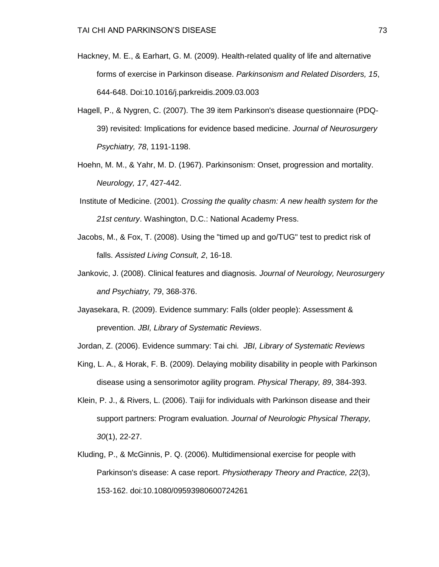- Hackney, M. E., & Earhart, G. M. (2009). Health-related quality of life and alternative forms of exercise in Parkinson disease. *Parkinsonism and Related Disorders, 15*, 644-648. Doi:10.1016/j.parkreidis.2009.03.003
- Hagell, P., & Nygren, C. (2007). The 39 item Parkinson's disease questionnaire (PDQ-39) revisited: Implications for evidence based medicine. *Journal of Neurosurgery Psychiatry, 78*, 1191-1198.
- Hoehn, M. M., & Yahr, M. D. (1967). Parkinsonism: Onset, progression and mortality. *Neurology, 17*, 427-442.
- Institute of Medicine. (2001). *Crossing the quality chasm: A new health system for the 21st century*. Washington, D.C.: National Academy Press.
- Jacobs, M., & Fox, T. (2008). Using the "timed up and go/TUG" test to predict risk of falls. *Assisted Living Consult, 2*, 16-18.
- Jankovic, J. (2008). Clinical features and diagnosis. *Journal of Neurology, Neurosurgery and Psychiatry, 79*, 368-376.
- Jayasekara, R. (2009). Evidence summary: Falls (older people): Assessment & prevention. *JBI, Library of Systematic Reviews*.

Jordan, Z. (2006). Evidence summary: Tai chi*. JBI, Library of Systematic Reviews*

- King, L. A., & Horak, F. B. (2009). Delaying mobility disability in people with Parkinson disease using a sensorimotor agility program. *Physical Therapy, 89*, 384-393.
- Klein, P. J., & Rivers, L. (2006). Taiji for individuals with Parkinson disease and their support partners: Program evaluation. *Journal of Neurologic Physical Therapy, 30*(1), 22-27.
- Kluding, P., & McGinnis, P. Q. (2006). Multidimensional exercise for people with Parkinson's disease: A case report. *Physiotherapy Theory and Practice, 22*(3), 153-162. doi:10.1080/09593980600724261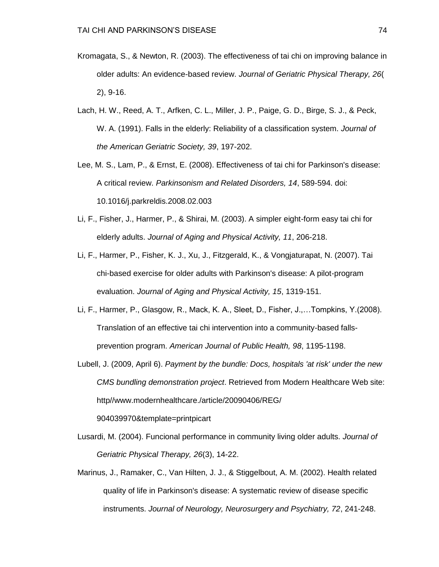- Kromagata, S., & Newton, R. (2003). The effectiveness of tai chi on improving balance in older adults: An evidence-based review. *Journal of Geriatric Physical Therapy, 26*( 2), 9-16.
- Lach, H. W., Reed, A. T., Arfken, C. L., Miller, J. P., Paige, G. D., Birge, S. J., & Peck, W. A. (1991). Falls in the elderly: Reliability of a classification system. *Journal of the American Geriatric Society, 39*, 197-202.
- Lee, M. S., Lam, P., & Ernst, E. (2008). Effectiveness of tai chi for Parkinson's disease: A critical review. *Parkinsonism and Related Disorders, 14*, 589-594. doi: 10.1016/j.parkreldis.2008.02.003
- Li, F., Fisher, J., Harmer, P., & Shirai, M. (2003). A simpler eight-form easy tai chi for elderly adults. *Journal of Aging and Physical Activity, 11*, 206-218.
- Li, F., Harmer, P., Fisher, K. J., Xu, J., Fitzgerald, K., & Vongjaturapat, N. (2007). Tai chi-based exercise for older adults with Parkinson's disease: A pilot-program evaluation. *Journal of Aging and Physical Activity, 15*, 1319-151.
- Li, F., Harmer, P., Glasgow, R., Mack, K. A., Sleet, D., Fisher, J.,…Tompkins, Y.(2008). Translation of an effective tai chi intervention into a community-based fallsprevention program. *American Journal of Public Health, 98*, 1195-1198.
- Lubell, J. (2009, April 6). *Payment by the bundle: Docs, hospitals 'at risk' under the new CMS bundling demonstration project*. Retrieved from Modern Healthcare Web site: http//www.modernhealthcare./article/20090406/REG/ 904039970&template=printpicart
- Lusardi, M. (2004). Funcional performance in community living older adults. *Journal of Geriatric Physical Therapy, 26*(3), 14-22.
- Marinus, J., Ramaker, C., Van Hilten, J. J., & Stiggelbout, A. M. (2002). Health related quality of life in Parkinson's disease: A systematic review of disease specific instruments. *Journal of Neurology, Neurosurgery and Psychiatry, 72*, 241-248.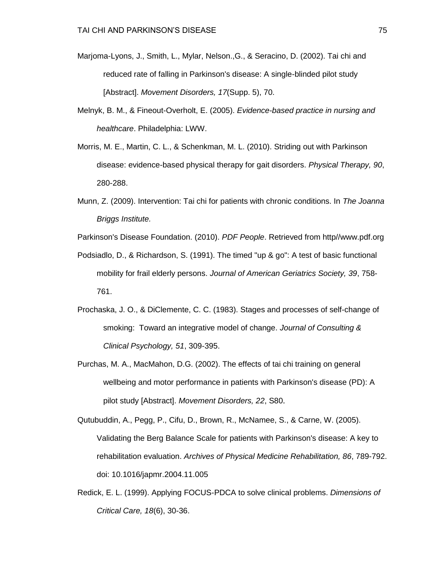- Marjoma-Lyons, J., Smith, L., Mylar, Nelson.,G., & Seracino, D. (2002). Tai chi and reduced rate of falling in Parkinson's disease: A single-blinded pilot study [Abstract]. *Movement Disorders, 17*(Supp. 5), 70.
- Melnyk, B. M., & Fineout-Overholt, E. (2005). *Evidence-based practice in nursing and healthcare*. Philadelphia: LWW.
- Morris, M. E., Martin, C. L., & Schenkman, M. L. (2010). Striding out with Parkinson disease: evidence-based physical therapy for gait disorders. *Physical Therapy, 90*, 280-288.
- Munn, Z. (2009). Intervention: Tai chi for patients with chronic conditions. In *The Joanna Briggs Institute.*
- Parkinson's Disease Foundation. (2010). *PDF People*. Retrieved from http//www.pdf.org
- Podsiadlo, D., & Richardson, S. (1991). The timed "up & go": A test of basic functional mobility for frail elderly persons. *Journal of American Geriatrics Society, 39*, 758- 761.
- Prochaska, J. O., & DiClemente, C. C. (1983). Stages and processes of self-change of smoking: Toward an integrative model of change. *Journal of Consulting & Clinical Psychology, 51*, 309-395.
- Purchas, M. A., MacMahon, D.G. (2002). The effects of tai chi training on general wellbeing and motor performance in patients with Parkinson's disease (PD): A pilot study [Abstract]. *Movement Disorders, 22*, S80.
- Qutubuddin, A., Pegg, P., Cifu, D., Brown, R., McNamee, S., & Carne, W. (2005). Validating the Berg Balance Scale for patients with Parkinson's disease: A key to rehabilitation evaluation. *Archives of Physical Medicine Rehabilitation, 86*, 789-792. doi: 10.1016/japmr.2004.11.005
- Redick, E. L. (1999). Applying FOCUS-PDCA to solve clinical problems. *Dimensions of Critical Care, 18*(6), 30-36.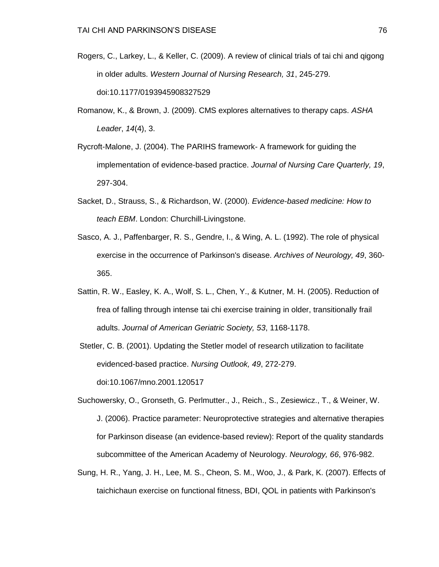- Rogers, C., Larkey, L., & Keller, C. (2009). A review of clinical trials of tai chi and qigong in older adults. *Western Journal of Nursing Research, 31*, 245-279. doi:10.1177/0193945908327529
- Romanow, K., & Brown, J. (2009). CMS explores alternatives to therapy caps. *ASHA Leader*, *14*(4), 3.
- Rycroft-Malone, J. (2004). The PARIHS framework- A framework for guiding the implementation of evidence-based practice. *Journal of Nursing Care Quarterly, 19*, 297-304.
- Sacket, D., Strauss, S., & Richardson, W. (2000). *Evidence-based medicine: How to teach EBM*. London: Churchill-Livingstone.
- Sasco, A. J., Paffenbarger, R. S., Gendre, I., & Wing, A. L. (1992). The role of physical exercise in the occurrence of Parkinson's disease. *Archives of Neurology, 49*, 360- 365.
- Sattin, R. W., Easley, K. A., Wolf, S. L., Chen, Y., & Kutner, M. H. (2005). Reduction of frea of falling through intense tai chi exercise training in older, transitionally frail adults. *Journal of American Geriatric Society, 53*, 1168-1178.
- Stetler, C. B. (2001). Updating the Stetler model of research utilization to facilitate evidenced-based practice. *Nursing Outlook, 49*, 272-279. doi:10.1067/mno.2001.120517
- Suchowersky, O., Gronseth, G. Perlmutter., J., Reich., S., Zesiewicz., T., & Weiner, W. J. (2006). Practice parameter: Neuroprotective strategies and alternative therapies for Parkinson disease (an evidence-based review): Report of the quality standards subcommittee of the American Academy of Neurology. *Neurology, 66*, 976-982.
- Sung, H. R., Yang, J. H., Lee, M. S., Cheon, S. M., Woo, J., & Park, K. (2007). Effects of taichichaun exercise on functional fitness, BDI, QOL in patients with Parkinson's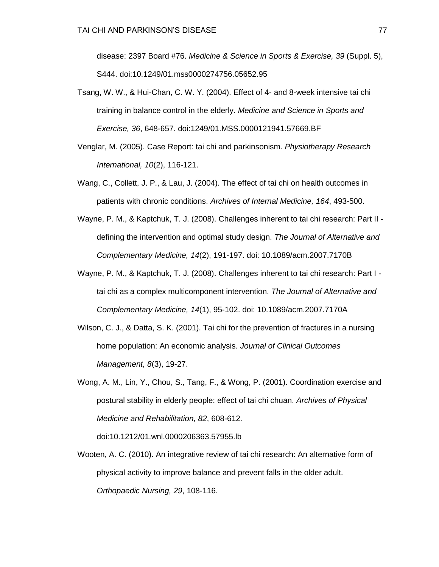disease: 2397 Board #76. *Medicine & Science in Sports & Exercise, 39* (Suppl. 5), S444. doi:10.1249/01.mss0000274756.05652.95

- Tsang, W. W., & Hui-Chan, C. W. Y. (2004). Effect of 4- and 8-week intensive tai chi training in balance control in the elderly. *Medicine and Science in Sports and Exercise, 36*, 648-657. doi:1249/01.MSS.0000121941.57669.BF
- Venglar, M. (2005). Case Report: tai chi and parkinsonism. *Physiotherapy Research International, 10*(2), 116-121.
- Wang, C., Collett, J. P., & Lau, J. (2004). The effect of tai chi on health outcomes in patients with chronic conditions. *Archives of Internal Medicine, 164*, 493-500.
- Wayne, P. M., & Kaptchuk, T. J. (2008). Challenges inherent to tai chi research: Part II defining the intervention and optimal study design. *The Journal of Alternative and Complementary Medicine, 14*(2), 191-197. doi: 10.1089/acm.2007.7170B
- Wayne, P. M., & Kaptchuk, T. J. (2008). Challenges inherent to tai chi research: Part I tai chi as a complex multicomponent intervention. *The Journal of Alternative and Complementary Medicine, 14*(1), 95-102. doi: 10.1089/acm.2007.7170A
- Wilson, C. J., & Datta, S. K. (2001). Tai chi for the prevention of fractures in a nursing home population: An economic analysis. *Journal of Clinical Outcomes Management, 8*(3), 19-27.
- Wong, A. M., Lin, Y., Chou, S., Tang, F., & Wong, P. (2001). Coordination exercise and postural stability in elderly people: effect of tai chi chuan. *Archives of Physical Medicine and Rehabilitation, 82*, 608-612.

doi:10.1212/01.wnl.0000206363.57955.lb

Wooten, A. C. (2010). An integrative review of tai chi research: An alternative form of physical activity to improve balance and prevent falls in the older adult. *Orthopaedic Nursing, 29*, 108-116.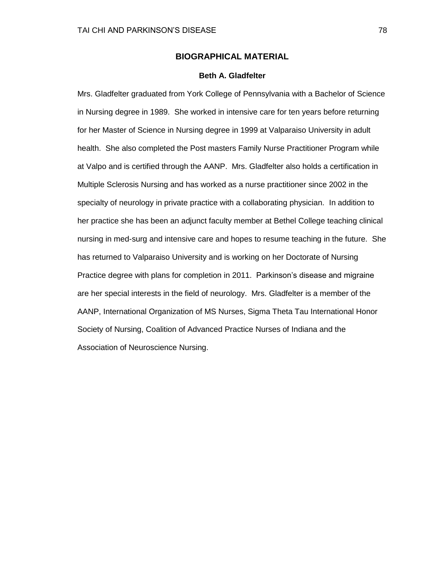## **BIOGRAPHICAL MATERIAL**

#### **Beth A. Gladfelter**

Mrs. Gladfelter graduated from York College of Pennsylvania with a Bachelor of Science in Nursing degree in 1989. She worked in intensive care for ten years before returning for her Master of Science in Nursing degree in 1999 at Valparaiso University in adult health. She also completed the Post masters Family Nurse Practitioner Program while at Valpo and is certified through the AANP. Mrs. Gladfelter also holds a certification in Multiple Sclerosis Nursing and has worked as a nurse practitioner since 2002 in the specialty of neurology in private practice with a collaborating physician. In addition to her practice she has been an adjunct faculty member at Bethel College teaching clinical nursing in med-surg and intensive care and hopes to resume teaching in the future. She has returned to Valparaiso University and is working on her Doctorate of Nursing Practice degree with plans for completion in 2011. Parkinson's disease and migraine are her special interests in the field of neurology. Mrs. Gladfelter is a member of the AANP, International Organization of MS Nurses, Sigma Theta Tau International Honor Society of Nursing, Coalition of Advanced Practice Nurses of Indiana and the Association of Neuroscience Nursing.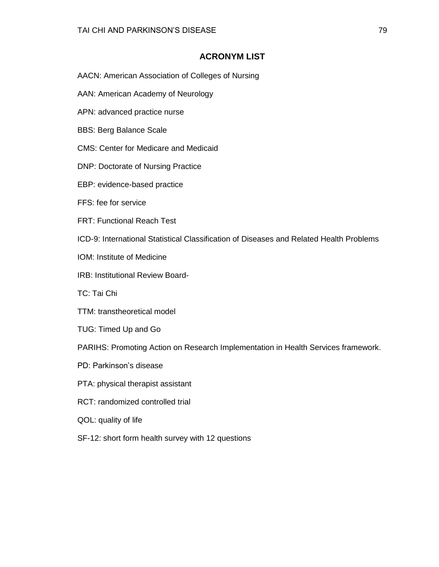## **ACRONYM LIST**

- AACN: American Association of Colleges of Nursing
- AAN: American Academy of Neurology
- APN: advanced practice nurse
- BBS: Berg Balance Scale
- CMS: Center for Medicare and Medicaid
- DNP: Doctorate of Nursing Practice
- EBP: evidence-based practice
- FFS: fee for service
- FRT: Functional Reach Test
- ICD-9: International Statistical Classification of Diseases and Related Health Problems
- IOM: Institute of Medicine
- IRB: Institutional Review Board-
- TC: Tai Chi
- TTM: transtheoretical model
- TUG: Timed Up and Go
- PARIHS: Promoting Action on Research Implementation in Health Services framework.
- PD: Parkinson's disease
- PTA: physical therapist assistant
- RCT: randomized controlled trial
- QOL: quality of life
- SF-12: short form health survey with 12 questions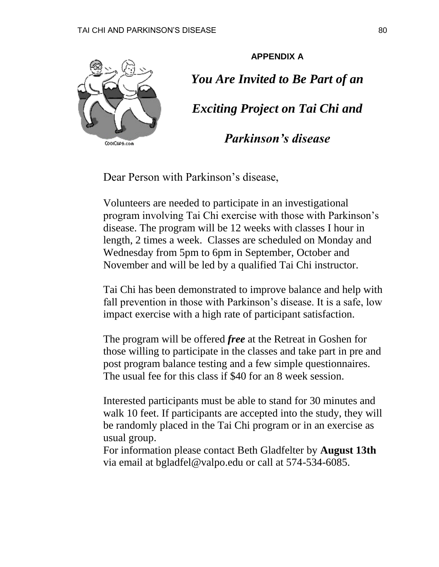

**APPENDIX A** *You Are Invited to Be Part of an Exciting Project on Tai Chi and* 

*Parkinson's disease*

Dear Person with Parkinson's disease,

Volunteers are needed to participate in an investigational program involving Tai Chi exercise with those with Parkinson's disease. The program will be 12 weeks with classes I hour in length, 2 times a week. Classes are scheduled on Monday and Wednesday from 5pm to 6pm in September, October and November and will be led by a qualified Tai Chi instructor.

Tai Chi has been demonstrated to improve balance and help with fall prevention in those with Parkinson's disease. It is a safe, low impact exercise with a high rate of participant satisfaction.

The program will be offered *free* at the Retreat in Goshen for those willing to participate in the classes and take part in pre and post program balance testing and a few simple questionnaires. The usual fee for this class if \$40 for an 8 week session.

Interested participants must be able to stand for 30 minutes and walk 10 feet. If participants are accepted into the study, they will be randomly placed in the Tai Chi program or in an exercise as usual group.

For information please contact Beth Gladfelter by **August 13th** via email at bgladfel@valpo.edu or call at 574-534-6085.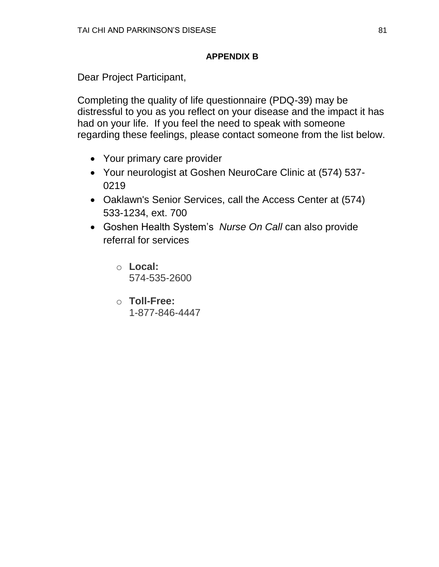## **APPENDIX B**

Dear Project Participant,

Completing the quality of life questionnaire (PDQ-39) may be distressful to you as you reflect on your disease and the impact it has had on your life. If you feel the need to speak with someone regarding these feelings, please contact someone from the list below.

- Your primary care provider
- Your neurologist at Goshen NeuroCare Clinic at (574) 537- 0219
- Oaklawn's Senior Services, call the Access Center at (574) 533-1234, ext. 700
- Goshen Health System's *Nurse On Call* can also provide referral for services
	- o **Local:** 574-535-2600
	- o **Toll-Free:** 1-877-846-4447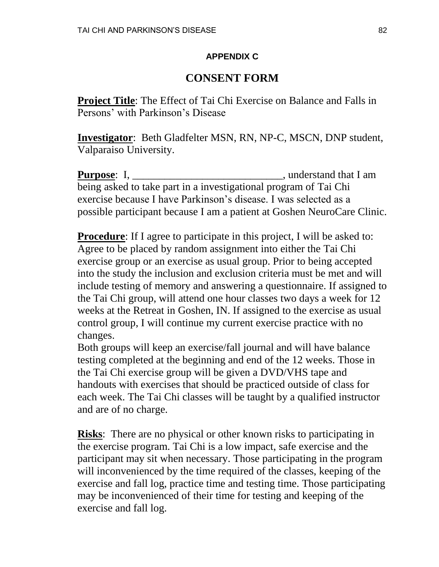## **APPENDIX C**

# **CONSENT FORM**

**Project Title**: The Effect of Tai Chi Exercise on Balance and Falls in Persons' with Parkinson's Disease

**Investigator**: Beth Gladfelter MSN, RN, NP-C, MSCN, DNP student, Valparaiso University.

**Purpose**: I, \_\_\_\_\_\_\_\_\_\_\_\_\_\_\_\_\_\_\_\_\_\_\_\_\_\_\_\_\_\_\_\_, understand that I am being asked to take part in a investigational program of Tai Chi exercise because I have Parkinson's disease. I was selected as a possible participant because I am a patient at Goshen NeuroCare Clinic.

**Procedure**: If I agree to participate in this project, I will be asked to: Agree to be placed by random assignment into either the Tai Chi exercise group or an exercise as usual group. Prior to being accepted into the study the inclusion and exclusion criteria must be met and will include testing of memory and answering a questionnaire. If assigned to the Tai Chi group, will attend one hour classes two days a week for 12 weeks at the Retreat in Goshen, IN. If assigned to the exercise as usual control group, I will continue my current exercise practice with no changes.

Both groups will keep an exercise/fall journal and will have balance testing completed at the beginning and end of the 12 weeks. Those in the Tai Chi exercise group will be given a DVD/VHS tape and handouts with exercises that should be practiced outside of class for each week. The Tai Chi classes will be taught by a qualified instructor and are of no charge.

**Risks**: There are no physical or other known risks to participating in the exercise program. Tai Chi is a low impact, safe exercise and the participant may sit when necessary. Those participating in the program will inconvenienced by the time required of the classes, keeping of the exercise and fall log, practice time and testing time. Those participating may be inconvenienced of their time for testing and keeping of the exercise and fall log.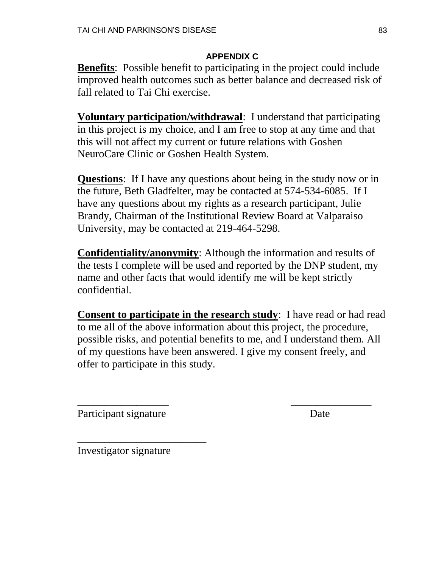## **APPENDIX C**

**Benefits**: Possible benefit to participating in the project could include improved health outcomes such as better balance and decreased risk of fall related to Tai Chi exercise.

**Voluntary participation/withdrawal**: I understand that participating in this project is my choice, and I am free to stop at any time and that this will not affect my current or future relations with Goshen NeuroCare Clinic or Goshen Health System.

**Questions**: If I have any questions about being in the study now or in the future, Beth Gladfelter, may be contacted at 574-534-6085. If I have any questions about my rights as a research participant, Julie Brandy, Chairman of the Institutional Review Board at Valparaiso University, may be contacted at 219-464-5298.

**Confidentiality/anonymity**: Although the information and results of the tests I complete will be used and reported by the DNP student, my name and other facts that would identify me will be kept strictly confidential.

**Consent to participate in the research study**: I have read or had read to me all of the above information about this project, the procedure, possible risks, and potential benefits to me, and I understand them. All of my questions have been answered. I give my consent freely, and offer to participate in this study.

\_\_\_\_\_\_\_\_\_\_\_\_\_\_\_\_\_ \_\_\_\_\_\_\_\_\_\_\_\_\_\_\_

Participant signature Date

Investigator signature

\_\_\_\_\_\_\_\_\_\_\_\_\_\_\_\_\_\_\_\_\_\_\_\_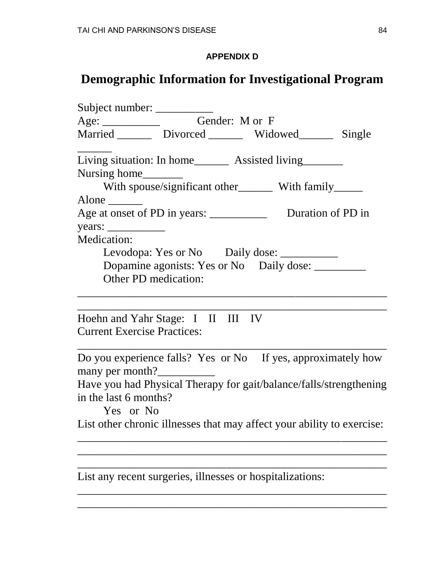# **APPENDIX D**

# **Demographic Information for Investigational Program**

| Subject number: ___________                                                     |  |  |  |  |  |  |  |  |
|---------------------------------------------------------------------------------|--|--|--|--|--|--|--|--|
| Age: Gender: M or F                                                             |  |  |  |  |  |  |  |  |
| Married ________ Divorced ________ Widowed_______ Single                        |  |  |  |  |  |  |  |  |
| Living situation: In home_________ Assisted living________                      |  |  |  |  |  |  |  |  |
| Nursing home________                                                            |  |  |  |  |  |  |  |  |
| With spouse/significant other_________ With family______                        |  |  |  |  |  |  |  |  |
| Alone $\qquad \qquad$                                                           |  |  |  |  |  |  |  |  |
|                                                                                 |  |  |  |  |  |  |  |  |
|                                                                                 |  |  |  |  |  |  |  |  |
| <b>Medication:</b>                                                              |  |  |  |  |  |  |  |  |
| Levodopa: Yes or No Daily dose: __________                                      |  |  |  |  |  |  |  |  |
| Dopamine agonists: Yes or No Daily dose: __________                             |  |  |  |  |  |  |  |  |
| Other PD medication:                                                            |  |  |  |  |  |  |  |  |
| Hoehn and Yahr Stage: I II III IV<br><b>Current Exercise Practices:</b>         |  |  |  |  |  |  |  |  |
| Do you experience falls? Yes or No If yes, approximately how<br>many per month? |  |  |  |  |  |  |  |  |
| Have you had Physical Therapy for gait/balance/falls/strengthening              |  |  |  |  |  |  |  |  |
| in the last 6 months?                                                           |  |  |  |  |  |  |  |  |
| Yes or No                                                                       |  |  |  |  |  |  |  |  |
| List other chronic illnesses that may affect your ability to exercise:          |  |  |  |  |  |  |  |  |
|                                                                                 |  |  |  |  |  |  |  |  |
|                                                                                 |  |  |  |  |  |  |  |  |
| List any recent surgeries, illnesses or hospitalizations:                       |  |  |  |  |  |  |  |  |

\_\_\_\_\_\_\_\_\_\_\_\_\_\_\_\_\_\_\_\_\_\_\_\_\_\_\_\_\_\_\_\_\_\_\_\_\_\_\_\_\_\_\_\_\_\_\_\_\_\_\_\_\_\_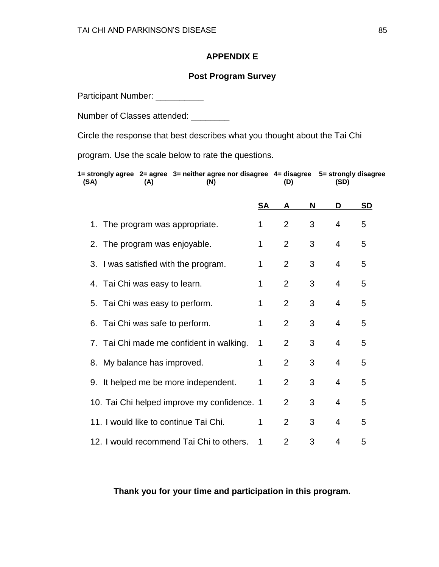## **APPENDIX E**

## **Post Program Survey**

Participant Number: \_\_\_\_\_\_\_\_\_\_

Number of Classes attended: \_\_\_\_\_\_\_\_

Circle the response that best describes what you thought about the Tai Chi

program. Use the scale below to rate the questions.

| (SA) |                                 | (A) | 1= strongly agree   2= agree   3= neither agree nor disagree   4= disagree    5= strongly disagree<br>(N) |    | (D)            |   | (SD)           |           |
|------|---------------------------------|-----|-----------------------------------------------------------------------------------------------------------|----|----------------|---|----------------|-----------|
|      |                                 |     |                                                                                                           | SA | A              | N | D              | <b>SD</b> |
|      | 1. The program was appropriate. |     |                                                                                                           |    | $\overline{2}$ | 3 | 4              | 5         |
|      | 2. The program was enjoyable.   |     |                                                                                                           |    | $\overline{2}$ | 3 | $\overline{4}$ | 5         |
|      |                                 |     | 3. I was satisfied with the program.                                                                      | 1  | $\overline{2}$ | 3 | $\overline{4}$ | 5         |
|      | 4. Tai Chi was easy to learn.   |     |                                                                                                           | 1  | $\overline{2}$ | 3 | $\overline{4}$ | 5         |
|      |                                 |     | 5. Tai Chi was easy to perform.                                                                           | 1  | $\overline{2}$ | 3 | $\overline{4}$ | 5         |
|      |                                 |     | 6. Tai Chi was safe to perform.                                                                           | 1  | $\overline{2}$ | 3 | $\overline{4}$ | 5         |
|      |                                 |     | 7. Tai Chi made me confident in walking.                                                                  | 1  | $\overline{2}$ | 3 | $\overline{4}$ | 5         |
|      | 8. My balance has improved.     |     |                                                                                                           | 1  | $\overline{2}$ | 3 | $\overline{4}$ | 5         |
|      |                                 |     | 9. It helped me be more independent.                                                                      | 1  | $\overline{2}$ | 3 | $\overline{4}$ | 5         |
|      |                                 |     | 10. Tai Chi helped improve my confidence. 1                                                               |    | $\overline{2}$ | 3 | $\overline{4}$ | 5         |
|      |                                 |     | 11. I would like to continue Tai Chi.                                                                     | 1  | $\overline{2}$ | 3 | $\overline{4}$ | 5         |
|      |                                 |     | 12. I would recommend Tai Chi to others.                                                                  | 1  | $\overline{2}$ | 3 | 4              | 5         |

**Thank you for your time and participation in this program.**